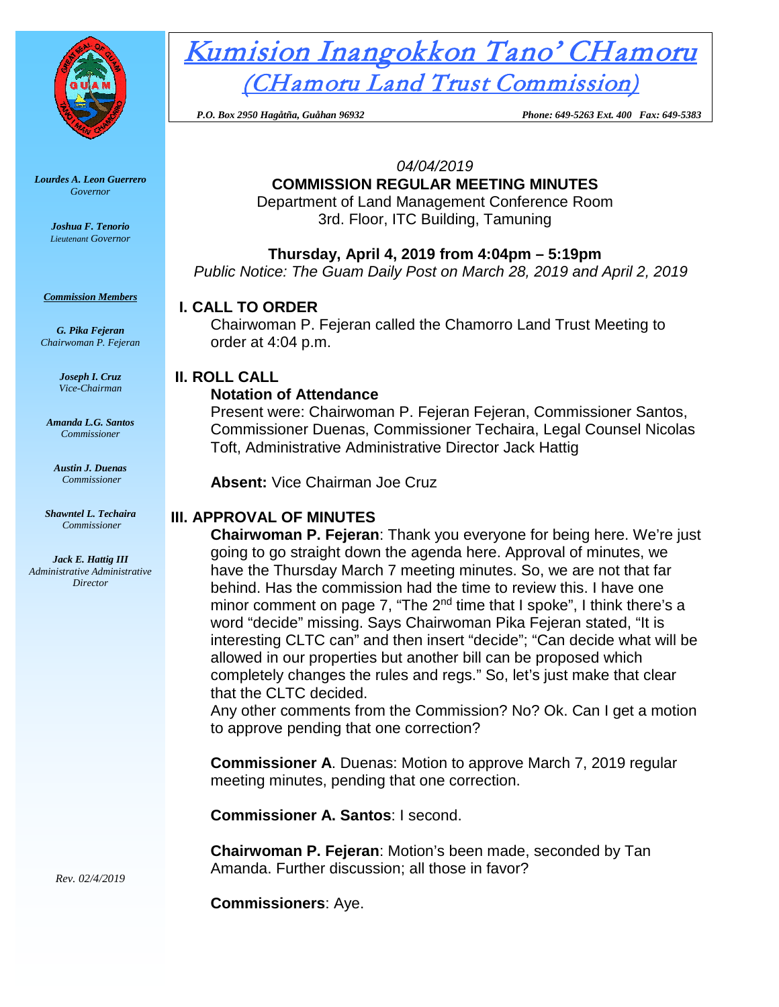

*Lourdes A. Leon Guerrero Governor* 

> *Joshua F. Tenorio Lieutenant Governor*

*Commission Members*

*G. Pika Fejeran Chairwoman P. Fejeran*

> *Joseph I. Cruz Vice-Chairman*

*Amanda L.G. Santos Commissioner*

*Austin J. Duenas Commissioner*

*Shawntel L. Techaira Commissioner*

*Jack E. Hattig III Administrative Administrative Director*

Kumision Inangokkon Tano' CHamoru (CHamoru Land Trust Commission)

 *P.O. Box 2950 Hagåtña, Guåhan 96932 Phone: 649-5263 Ext. 400 Fax: 649-5383*

*04/04/2019*

# **COMMISSION REGULAR MEETING MINUTES**

Department of Land Management Conference Room 3rd. Floor, ITC Building, Tamuning

**Thursday, April 4, 2019 from 4:04pm – 5:19pm**

*Public Notice: The Guam Daily Post on March 28, 2019 and April 2, 2019*

# **I. CALL TO ORDER**

Chairwoman P. Fejeran called the Chamorro Land Trust Meeting to order at 4:04 p.m.

## **II. ROLL CALL**

## **Notation of Attendance**

Present were: Chairwoman P. Fejeran Fejeran, Commissioner Santos, Commissioner Duenas, Commissioner Techaira, Legal Counsel Nicolas Toft, Administrative Administrative Director Jack Hattig

**Absent:** Vice Chairman Joe Cruz

## **III. APPROVAL OF MINUTES**

**Chairwoman P. Fejeran**: Thank you everyone for being here. We're just going to go straight down the agenda here. Approval of minutes, we have the Thursday March 7 meeting minutes. So, we are not that far behind. Has the commission had the time to review this. I have one minor comment on page 7, "The 2<sup>nd</sup> time that I spoke", I think there's a word "decide" missing. Says Chairwoman Pika Fejeran stated, "It is interesting CLTC can" and then insert "decide"; "Can decide what will be allowed in our properties but another bill can be proposed which completely changes the rules and regs." So, let's just make that clear that the CLTC decided.

Any other comments from the Commission? No? Ok. Can I get a motion to approve pending that one correction?

**Commissioner A**. Duenas: Motion to approve March 7, 2019 regular meeting minutes, pending that one correction.

**Commissioner A. Santos**: I second.

**Chairwoman P. Fejeran**: Motion's been made, seconded by Tan Amanda. Further discussion; all those in favor?

**Commissioners**: Aye.

*Rev. 02/4/2019*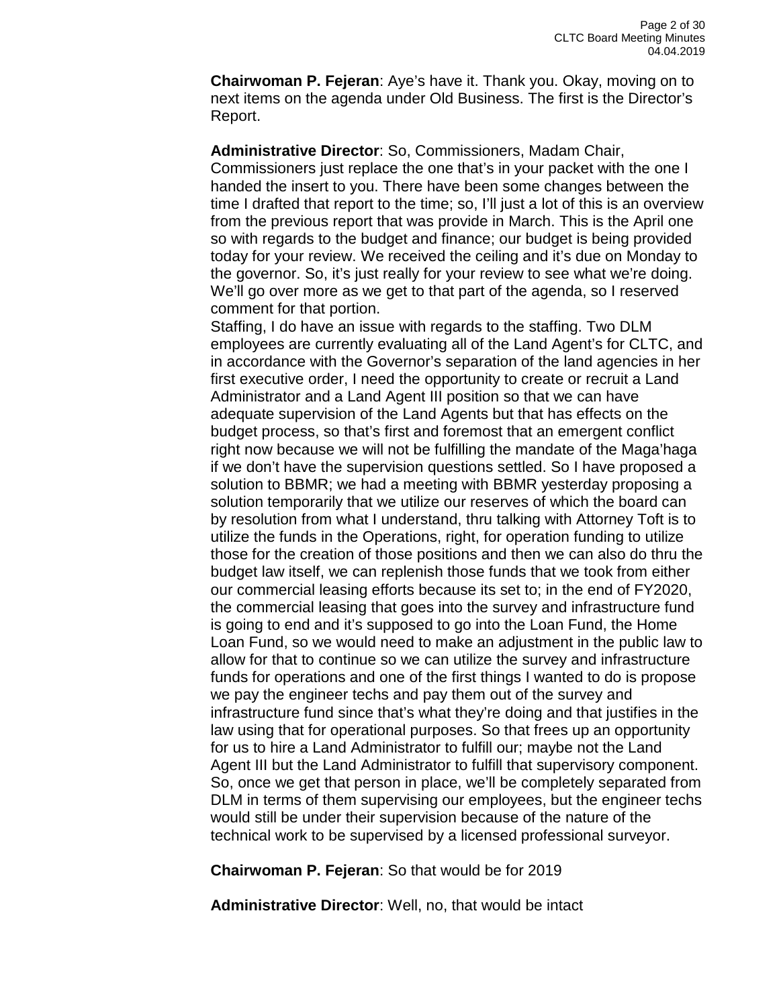**Chairwoman P. Fejeran**: Aye's have it. Thank you. Okay, moving on to next items on the agenda under Old Business. The first is the Director's Report.

**Administrative Director**: So, Commissioners, Madam Chair, Commissioners just replace the one that's in your packet with the one I handed the insert to you. There have been some changes between the time I drafted that report to the time; so, I'll just a lot of this is an overview from the previous report that was provide in March. This is the April one so with regards to the budget and finance; our budget is being provided today for your review. We received the ceiling and it's due on Monday to the governor. So, it's just really for your review to see what we're doing. We'll go over more as we get to that part of the agenda, so I reserved comment for that portion.

Staffing, I do have an issue with regards to the staffing. Two DLM employees are currently evaluating all of the Land Agent's for CLTC, and in accordance with the Governor's separation of the land agencies in her first executive order, I need the opportunity to create or recruit a Land Administrator and a Land Agent III position so that we can have adequate supervision of the Land Agents but that has effects on the budget process, so that's first and foremost that an emergent conflict right now because we will not be fulfilling the mandate of the Maga'haga if we don't have the supervision questions settled. So I have proposed a solution to BBMR; we had a meeting with BBMR yesterday proposing a solution temporarily that we utilize our reserves of which the board can by resolution from what I understand, thru talking with Attorney Toft is to utilize the funds in the Operations, right, for operation funding to utilize those for the creation of those positions and then we can also do thru the budget law itself, we can replenish those funds that we took from either our commercial leasing efforts because its set to; in the end of FY2020, the commercial leasing that goes into the survey and infrastructure fund is going to end and it's supposed to go into the Loan Fund, the Home Loan Fund, so we would need to make an adjustment in the public law to allow for that to continue so we can utilize the survey and infrastructure funds for operations and one of the first things I wanted to do is propose we pay the engineer techs and pay them out of the survey and infrastructure fund since that's what they're doing and that justifies in the law using that for operational purposes. So that frees up an opportunity for us to hire a Land Administrator to fulfill our; maybe not the Land Agent III but the Land Administrator to fulfill that supervisory component. So, once we get that person in place, we'll be completely separated from DLM in terms of them supervising our employees, but the engineer techs would still be under their supervision because of the nature of the technical work to be supervised by a licensed professional surveyor.

**Chairwoman P. Fejeran**: So that would be for 2019

**Administrative Director**: Well, no, that would be intact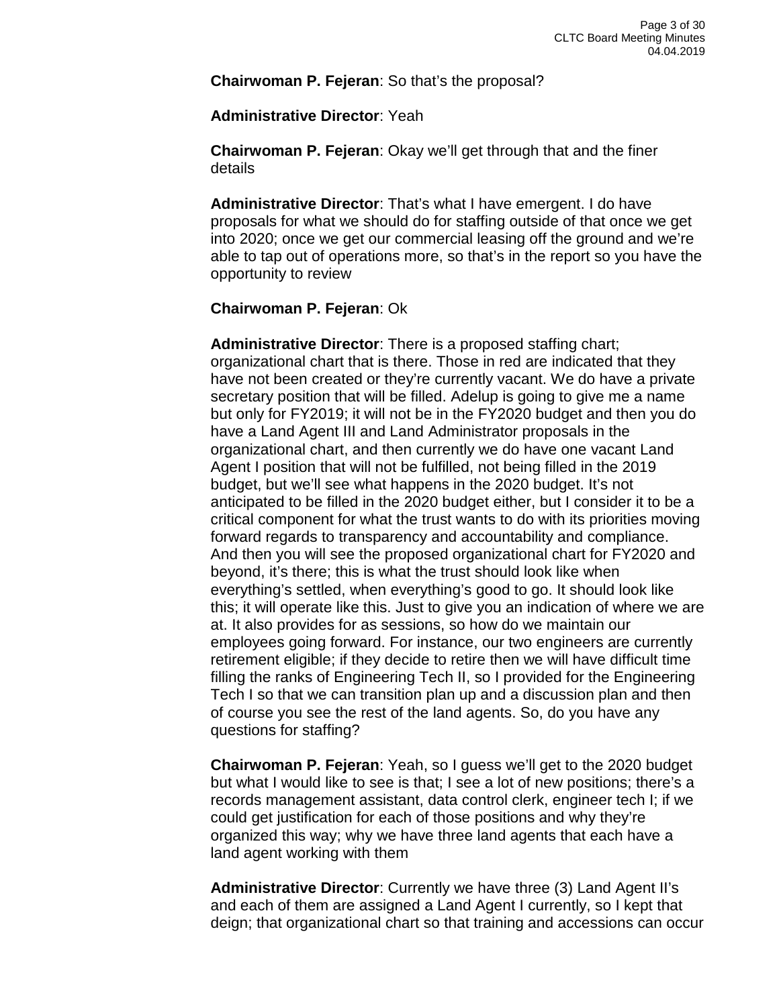**Chairwoman P. Fejeran**: So that's the proposal?

**Administrative Director**: Yeah

**Chairwoman P. Fejeran**: Okay we'll get through that and the finer details

**Administrative Director**: That's what I have emergent. I do have proposals for what we should do for staffing outside of that once we get into 2020; once we get our commercial leasing off the ground and we're able to tap out of operations more, so that's in the report so you have the opportunity to review

#### **Chairwoman P. Fejeran**: Ok

**Administrative Director**: There is a proposed staffing chart; organizational chart that is there. Those in red are indicated that they have not been created or they're currently vacant. We do have a private secretary position that will be filled. Adelup is going to give me a name but only for FY2019; it will not be in the FY2020 budget and then you do have a Land Agent III and Land Administrator proposals in the organizational chart, and then currently we do have one vacant Land Agent I position that will not be fulfilled, not being filled in the 2019 budget, but we'll see what happens in the 2020 budget. It's not anticipated to be filled in the 2020 budget either, but I consider it to be a critical component for what the trust wants to do with its priorities moving forward regards to transparency and accountability and compliance. And then you will see the proposed organizational chart for FY2020 and beyond, it's there; this is what the trust should look like when everything's settled, when everything's good to go. It should look like this; it will operate like this. Just to give you an indication of where we are at. It also provides for as sessions, so how do we maintain our employees going forward. For instance, our two engineers are currently retirement eligible; if they decide to retire then we will have difficult time filling the ranks of Engineering Tech II, so I provided for the Engineering Tech I so that we can transition plan up and a discussion plan and then of course you see the rest of the land agents. So, do you have any questions for staffing?

**Chairwoman P. Fejeran**: Yeah, so I guess we'll get to the 2020 budget but what I would like to see is that; I see a lot of new positions; there's a records management assistant, data control clerk, engineer tech I; if we could get justification for each of those positions and why they're organized this way; why we have three land agents that each have a land agent working with them

**Administrative Director**: Currently we have three (3) Land Agent II's and each of them are assigned a Land Agent I currently, so I kept that deign; that organizational chart so that training and accessions can occur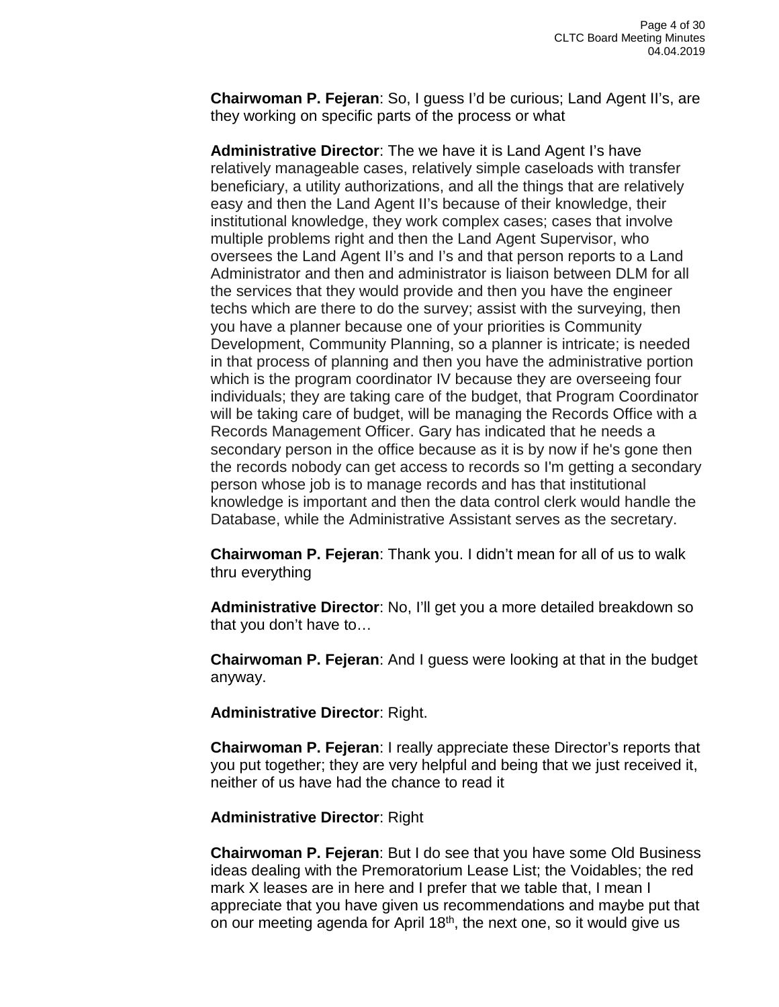**Chairwoman P. Fejeran**: So, I guess I'd be curious; Land Agent II's, are they working on specific parts of the process or what

**Administrative Director**: The we have it is Land Agent I's have relatively manageable cases, relatively simple caseloads with transfer beneficiary, a utility authorizations, and all the things that are relatively easy and then the Land Agent II's because of their knowledge, their institutional knowledge, they work complex cases; cases that involve multiple problems right and then the Land Agent Supervisor, who oversees the Land Agent II's and I's and that person reports to a Land Administrator and then and administrator is liaison between DLM for all the services that they would provide and then you have the engineer techs which are there to do the survey; assist with the surveying, then you have a planner because one of your priorities is Community Development, Community Planning, so a planner is intricate; is needed in that process of planning and then you have the administrative portion which is the program coordinator IV because they are overseeing four individuals; they are taking care of the budget, that Program Coordinator will be taking care of budget, will be managing the Records Office with a Records Management Officer. Gary has indicated that he needs a secondary person in the office because as it is by now if he's gone then the records nobody can get access to records so I'm getting a secondary person whose job is to manage records and has that institutional knowledge is important and then the data control clerk would handle the Database, while the Administrative Assistant serves as the secretary.

**Chairwoman P. Fejeran**: Thank you. I didn't mean for all of us to walk thru everything

**Administrative Director**: No, I'll get you a more detailed breakdown so that you don't have to…

**Chairwoman P. Fejeran**: And I guess were looking at that in the budget anyway.

**Administrative Director**: Right.

**Chairwoman P. Fejeran**: I really appreciate these Director's reports that you put together; they are very helpful and being that we just received it, neither of us have had the chance to read it

#### **Administrative Director**: Right

**Chairwoman P. Fejeran**: But I do see that you have some Old Business ideas dealing with the Premoratorium Lease List; the Voidables; the red mark X leases are in here and I prefer that we table that, I mean I appreciate that you have given us recommendations and maybe put that on our meeting agenda for April 18th, the next one, so it would give us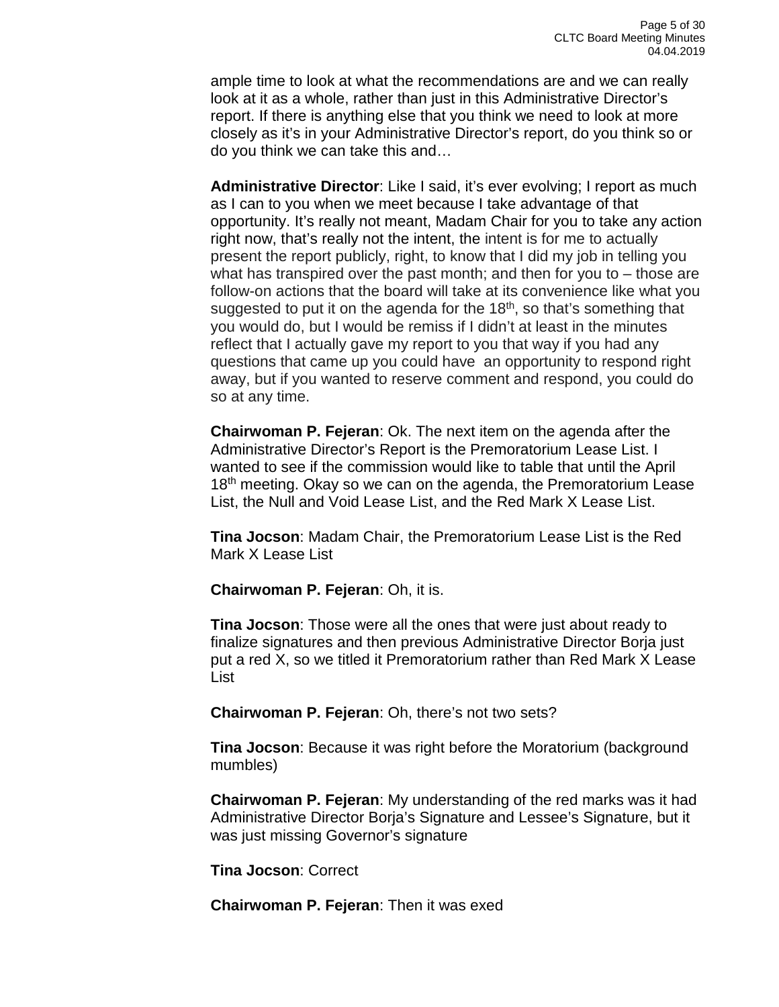ample time to look at what the recommendations are and we can really look at it as a whole, rather than just in this Administrative Director's report. If there is anything else that you think we need to look at more closely as it's in your Administrative Director's report, do you think so or do you think we can take this and…

**Administrative Director**: Like I said, it's ever evolving; I report as much as I can to you when we meet because I take advantage of that opportunity. It's really not meant, Madam Chair for you to take any action right now, that's really not the intent, the intent is for me to actually present the report publicly, right, to know that I did my job in telling you what has transpired over the past month; and then for you to – those are follow-on actions that the board will take at its convenience like what you suggested to put it on the agenda for the  $18<sup>th</sup>$ , so that's something that you would do, but I would be remiss if I didn't at least in the minutes reflect that I actually gave my report to you that way if you had any questions that came up you could have an opportunity to respond right away, but if you wanted to reserve comment and respond, you could do so at any time.

**Chairwoman P. Fejeran**: Ok. The next item on the agenda after the Administrative Director's Report is the Premoratorium Lease List. I wanted to see if the commission would like to table that until the April  $18<sup>th</sup>$  meeting. Okay so we can on the agenda, the Premoratorium Lease List, the Null and Void Lease List, and the Red Mark X Lease List.

**Tina Jocson**: Madam Chair, the Premoratorium Lease List is the Red Mark X Lease List

**Chairwoman P. Fejeran**: Oh, it is.

**Tina Jocson**: Those were all the ones that were just about ready to finalize signatures and then previous Administrative Director Borja just put a red X, so we titled it Premoratorium rather than Red Mark X Lease List

**Chairwoman P. Fejeran**: Oh, there's not two sets?

**Tina Jocson**: Because it was right before the Moratorium (background mumbles)

**Chairwoman P. Fejeran**: My understanding of the red marks was it had Administrative Director Borja's Signature and Lessee's Signature, but it was just missing Governor's signature

**Tina Jocson**: Correct

**Chairwoman P. Fejeran**: Then it was exed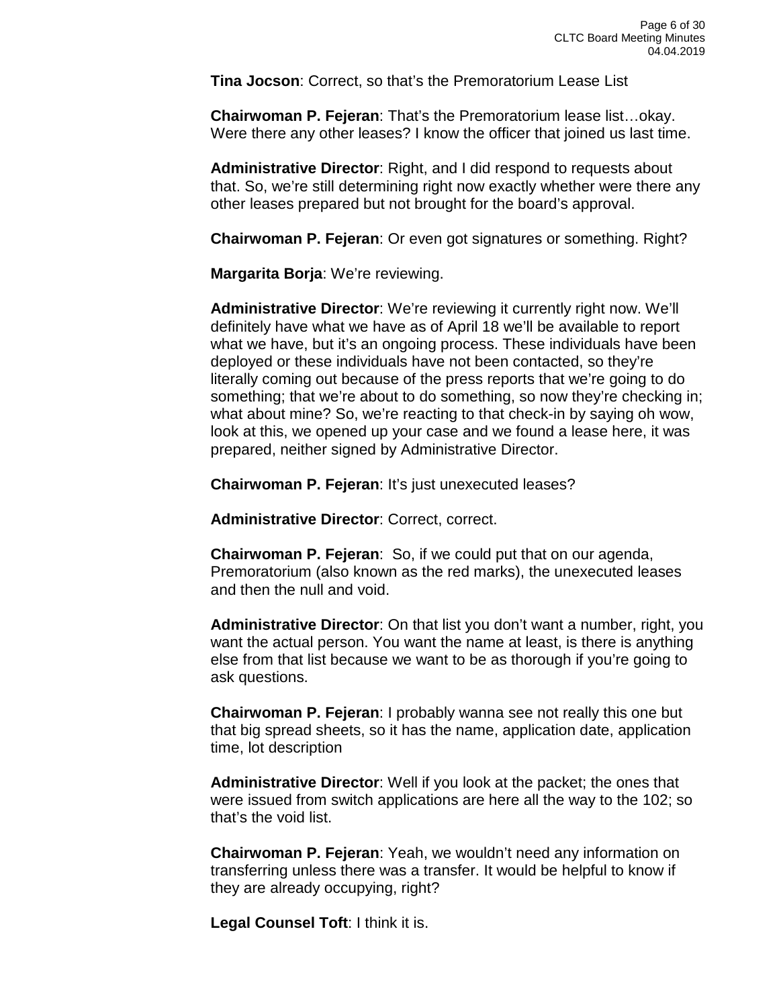**Tina Jocson**: Correct, so that's the Premoratorium Lease List

**Chairwoman P. Fejeran**: That's the Premoratorium lease list…okay. Were there any other leases? I know the officer that joined us last time.

**Administrative Director**: Right, and I did respond to requests about that. So, we're still determining right now exactly whether were there any other leases prepared but not brought for the board's approval.

**Chairwoman P. Fejeran**: Or even got signatures or something. Right?

**Margarita Borja**: We're reviewing.

**Administrative Director**: We're reviewing it currently right now. We'll definitely have what we have as of April 18 we'll be available to report what we have, but it's an ongoing process. These individuals have been deployed or these individuals have not been contacted, so they're literally coming out because of the press reports that we're going to do something; that we're about to do something, so now they're checking in; what about mine? So, we're reacting to that check-in by saying oh wow, look at this, we opened up your case and we found a lease here, it was prepared, neither signed by Administrative Director.

**Chairwoman P. Fejeran**: It's just unexecuted leases?

**Administrative Director**: Correct, correct.

**Chairwoman P. Fejeran**: So, if we could put that on our agenda, Premoratorium (also known as the red marks), the unexecuted leases and then the null and void.

**Administrative Director**: On that list you don't want a number, right, you want the actual person. You want the name at least, is there is anything else from that list because we want to be as thorough if you're going to ask questions.

**Chairwoman P. Fejeran**: I probably wanna see not really this one but that big spread sheets, so it has the name, application date, application time, lot description

**Administrative Director**: Well if you look at the packet; the ones that were issued from switch applications are here all the way to the 102; so that's the void list.

**Chairwoman P. Fejeran**: Yeah, we wouldn't need any information on transferring unless there was a transfer. It would be helpful to know if they are already occupying, right?

**Legal Counsel Toft**: I think it is.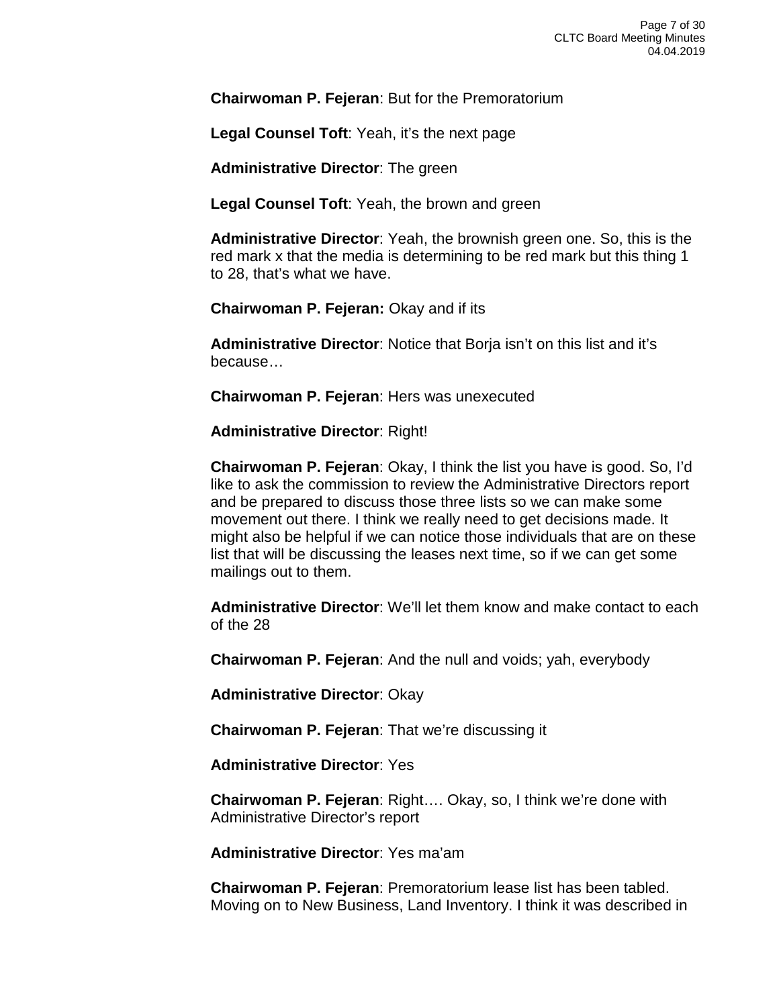**Chairwoman P. Fejeran**: But for the Premoratorium

**Legal Counsel Toft**: Yeah, it's the next page

**Administrative Director**: The green

**Legal Counsel Toft**: Yeah, the brown and green

**Administrative Director**: Yeah, the brownish green one. So, this is the red mark x that the media is determining to be red mark but this thing 1 to 28, that's what we have.

**Chairwoman P. Fejeran:** Okay and if its

**Administrative Director**: Notice that Borja isn't on this list and it's because…

**Chairwoman P. Fejeran**: Hers was unexecuted

**Administrative Director**: Right!

**Chairwoman P. Fejeran**: Okay, I think the list you have is good. So, I'd like to ask the commission to review the Administrative Directors report and be prepared to discuss those three lists so we can make some movement out there. I think we really need to get decisions made. It might also be helpful if we can notice those individuals that are on these list that will be discussing the leases next time, so if we can get some mailings out to them.

**Administrative Director**: We'll let them know and make contact to each of the 28

**Chairwoman P. Fejeran**: And the null and voids; yah, everybody

**Administrative Director**: Okay

**Chairwoman P. Fejeran**: That we're discussing it

**Administrative Director**: Yes

**Chairwoman P. Fejeran**: Right…. Okay, so, I think we're done with Administrative Director's report

**Administrative Director**: Yes ma'am

**Chairwoman P. Fejeran**: Premoratorium lease list has been tabled. Moving on to New Business, Land Inventory. I think it was described in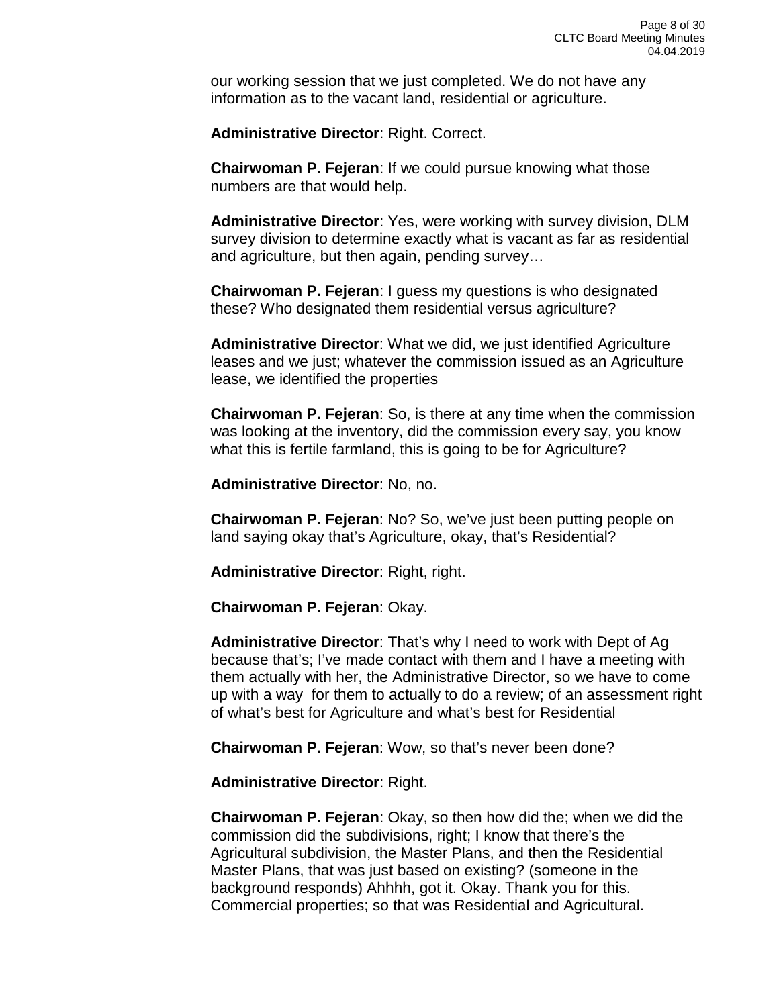our working session that we just completed. We do not have any information as to the vacant land, residential or agriculture.

**Administrative Director**: Right. Correct.

**Chairwoman P. Fejeran**: If we could pursue knowing what those numbers are that would help.

**Administrative Director**: Yes, were working with survey division, DLM survey division to determine exactly what is vacant as far as residential and agriculture, but then again, pending survey…

**Chairwoman P. Fejeran**: I guess my questions is who designated these? Who designated them residential versus agriculture?

**Administrative Director**: What we did, we just identified Agriculture leases and we just; whatever the commission issued as an Agriculture lease, we identified the properties

**Chairwoman P. Fejeran**: So, is there at any time when the commission was looking at the inventory, did the commission every say, you know what this is fertile farmland, this is going to be for Agriculture?

**Administrative Director**: No, no.

**Chairwoman P. Fejeran**: No? So, we've just been putting people on land saying okay that's Agriculture, okay, that's Residential?

**Administrative Director**: Right, right.

**Chairwoman P. Fejeran**: Okay.

**Administrative Director**: That's why I need to work with Dept of Ag because that's; I've made contact with them and I have a meeting with them actually with her, the Administrative Director, so we have to come up with a way for them to actually to do a review; of an assessment right of what's best for Agriculture and what's best for Residential

**Chairwoman P. Fejeran**: Wow, so that's never been done?

**Administrative Director**: Right.

**Chairwoman P. Fejeran**: Okay, so then how did the; when we did the commission did the subdivisions, right; I know that there's the Agricultural subdivision, the Master Plans, and then the Residential Master Plans, that was just based on existing? (someone in the background responds) Ahhhh, got it. Okay. Thank you for this. Commercial properties; so that was Residential and Agricultural.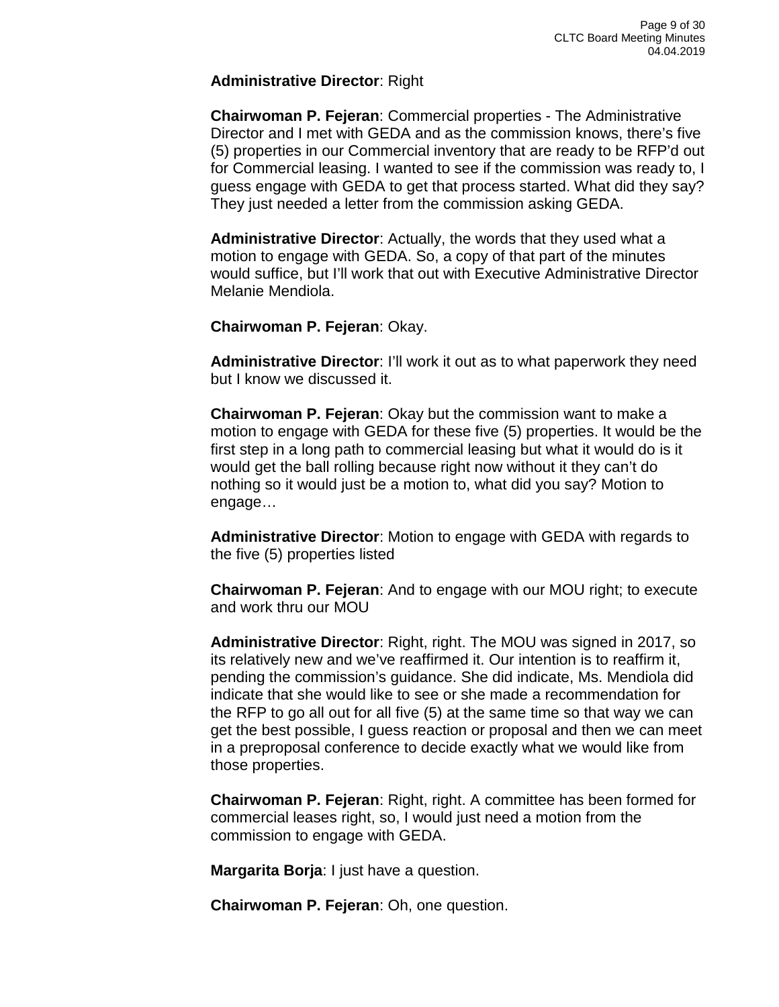#### **Administrative Director**: Right

**Chairwoman P. Fejeran**: Commercial properties - The Administrative Director and I met with GEDA and as the commission knows, there's five (5) properties in our Commercial inventory that are ready to be RFP'd out for Commercial leasing. I wanted to see if the commission was ready to, I guess engage with GEDA to get that process started. What did they say? They just needed a letter from the commission asking GEDA.

**Administrative Director**: Actually, the words that they used what a motion to engage with GEDA. So, a copy of that part of the minutes would suffice, but I'll work that out with Executive Administrative Director Melanie Mendiola.

#### **Chairwoman P. Fejeran**: Okay.

**Administrative Director**: I'll work it out as to what paperwork they need but I know we discussed it.

**Chairwoman P. Fejeran**: Okay but the commission want to make a motion to engage with GEDA for these five (5) properties. It would be the first step in a long path to commercial leasing but what it would do is it would get the ball rolling because right now without it they can't do nothing so it would just be a motion to, what did you say? Motion to engage…

**Administrative Director**: Motion to engage with GEDA with regards to the five (5) properties listed

**Chairwoman P. Fejeran**: And to engage with our MOU right; to execute and work thru our MOU

**Administrative Director**: Right, right. The MOU was signed in 2017, so its relatively new and we've reaffirmed it. Our intention is to reaffirm it, pending the commission's guidance. She did indicate, Ms. Mendiola did indicate that she would like to see or she made a recommendation for the RFP to go all out for all five (5) at the same time so that way we can get the best possible, I guess reaction or proposal and then we can meet in a preproposal conference to decide exactly what we would like from those properties.

**Chairwoman P. Fejeran**: Right, right. A committee has been formed for commercial leases right, so, I would just need a motion from the commission to engage with GEDA.

**Margarita Borja**: I just have a question.

**Chairwoman P. Fejeran**: Oh, one question.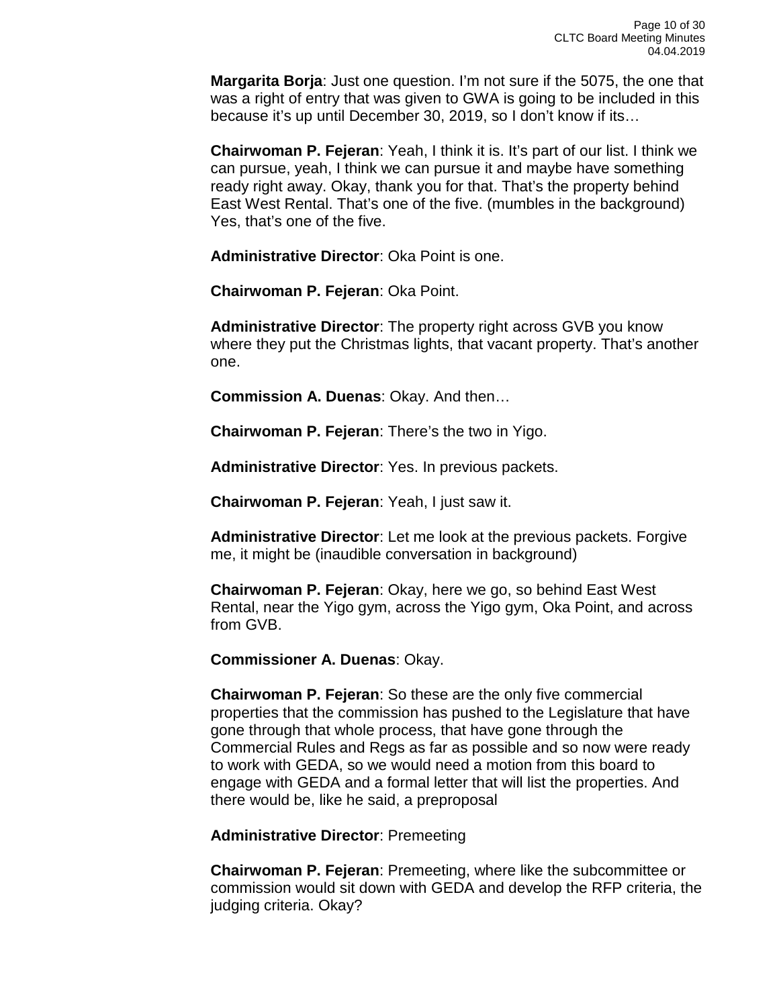**Margarita Borja**: Just one question. I'm not sure if the 5075, the one that was a right of entry that was given to GWA is going to be included in this because it's up until December 30, 2019, so I don't know if its…

**Chairwoman P. Fejeran**: Yeah, I think it is. It's part of our list. I think we can pursue, yeah, I think we can pursue it and maybe have something ready right away. Okay, thank you for that. That's the property behind East West Rental. That's one of the five. (mumbles in the background) Yes, that's one of the five.

**Administrative Director**: Oka Point is one.

**Chairwoman P. Fejeran**: Oka Point.

**Administrative Director**: The property right across GVB you know where they put the Christmas lights, that vacant property. That's another one.

**Commission A. Duenas**: Okay. And then…

**Chairwoman P. Fejeran**: There's the two in Yigo.

**Administrative Director**: Yes. In previous packets.

**Chairwoman P. Fejeran**: Yeah, I just saw it.

**Administrative Director**: Let me look at the previous packets. Forgive me, it might be (inaudible conversation in background)

**Chairwoman P. Fejeran**: Okay, here we go, so behind East West Rental, near the Yigo gym, across the Yigo gym, Oka Point, and across from GVB.

**Commissioner A. Duenas**: Okay.

**Chairwoman P. Fejeran**: So these are the only five commercial properties that the commission has pushed to the Legislature that have gone through that whole process, that have gone through the Commercial Rules and Regs as far as possible and so now were ready to work with GEDA, so we would need a motion from this board to engage with GEDA and a formal letter that will list the properties. And there would be, like he said, a preproposal

**Administrative Director**: Premeeting

**Chairwoman P. Fejeran**: Premeeting, where like the subcommittee or commission would sit down with GEDA and develop the RFP criteria, the judging criteria. Okay?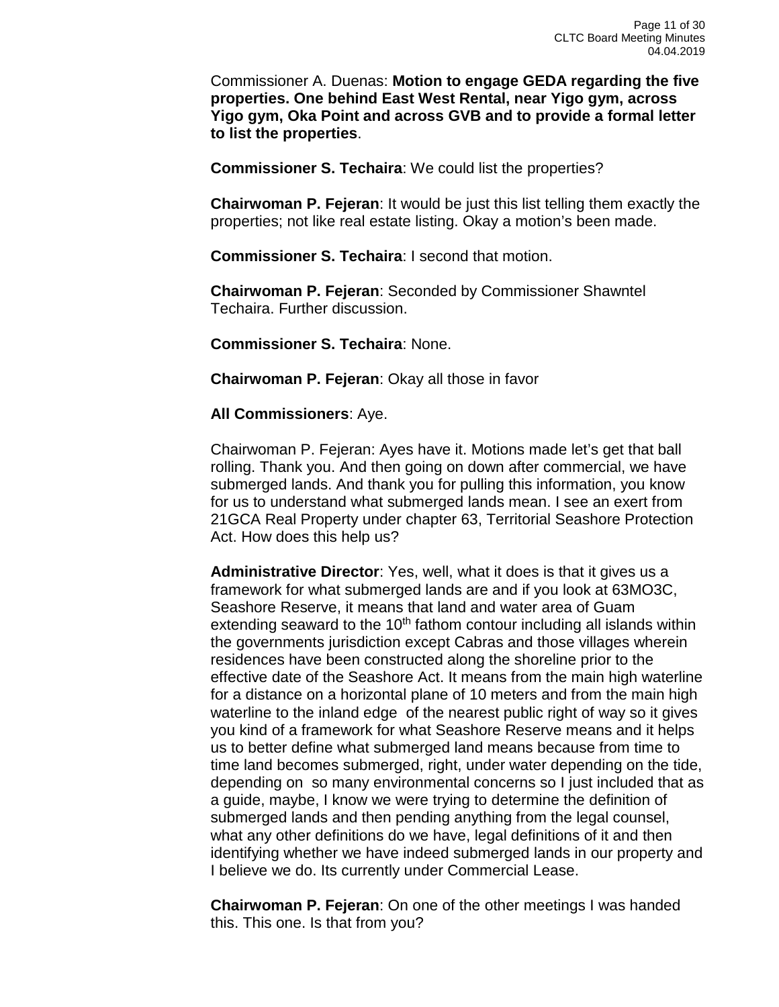Commissioner A. Duenas: **Motion to engage GEDA regarding the five properties. One behind East West Rental, near Yigo gym, across Yigo gym, Oka Point and across GVB and to provide a formal letter to list the properties**.

**Commissioner S. Techaira**: We could list the properties?

**Chairwoman P. Fejeran**: It would be just this list telling them exactly the properties; not like real estate listing. Okay a motion's been made.

**Commissioner S. Techaira**: I second that motion.

**Chairwoman P. Fejeran**: Seconded by Commissioner Shawntel Techaira. Further discussion.

**Commissioner S. Techaira**: None.

**Chairwoman P. Fejeran**: Okay all those in favor

#### **All Commissioners**: Aye.

Chairwoman P. Fejeran: Ayes have it. Motions made let's get that ball rolling. Thank you. And then going on down after commercial, we have submerged lands. And thank you for pulling this information, you know for us to understand what submerged lands mean. I see an exert from 21GCA Real Property under chapter 63, Territorial Seashore Protection Act. How does this help us?

**Administrative Director**: Yes, well, what it does is that it gives us a framework for what submerged lands are and if you look at 63MO3C, Seashore Reserve, it means that land and water area of Guam extending seaward to the 10<sup>th</sup> fathom contour including all islands within the governments jurisdiction except Cabras and those villages wherein residences have been constructed along the shoreline prior to the effective date of the Seashore Act. It means from the main high waterline for a distance on a horizontal plane of 10 meters and from the main high waterline to the inland edge of the nearest public right of way so it gives you kind of a framework for what Seashore Reserve means and it helps us to better define what submerged land means because from time to time land becomes submerged, right, under water depending on the tide, depending on so many environmental concerns so I just included that as a guide, maybe, I know we were trying to determine the definition of submerged lands and then pending anything from the legal counsel, what any other definitions do we have, legal definitions of it and then identifying whether we have indeed submerged lands in our property and I believe we do. Its currently under Commercial Lease.

**Chairwoman P. Fejeran**: On one of the other meetings I was handed this. This one. Is that from you?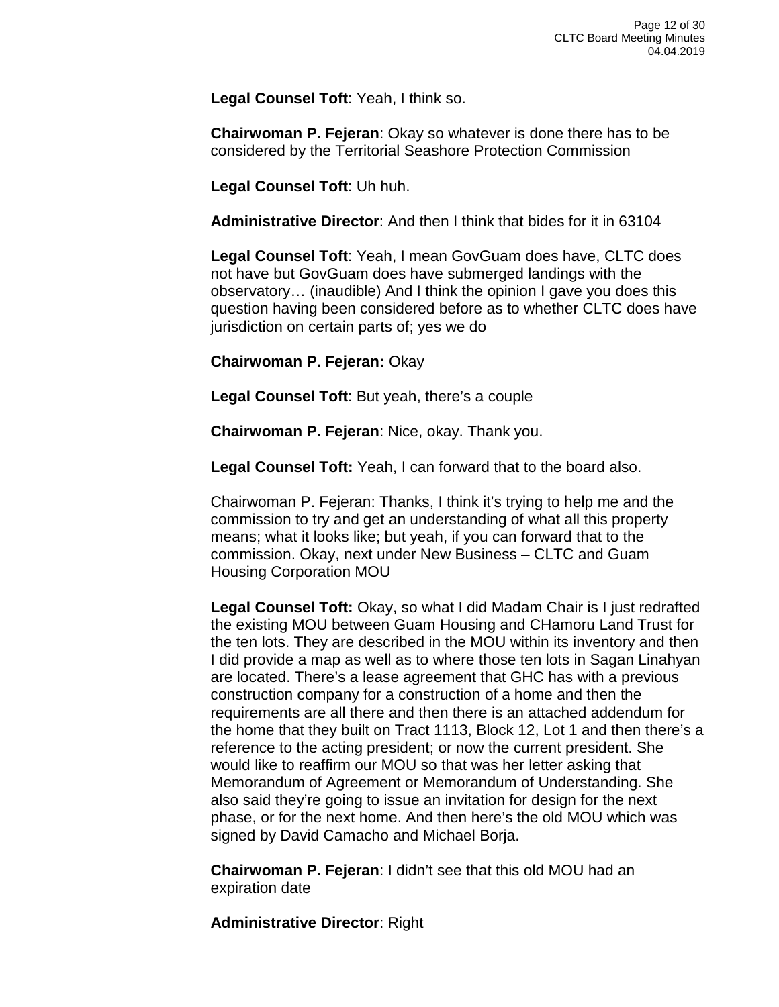**Legal Counsel Toft**: Yeah, I think so.

**Chairwoman P. Fejeran**: Okay so whatever is done there has to be considered by the Territorial Seashore Protection Commission

**Legal Counsel Toft**: Uh huh.

**Administrative Director**: And then I think that bides for it in 63104

**Legal Counsel Toft**: Yeah, I mean GovGuam does have, CLTC does not have but GovGuam does have submerged landings with the observatory… (inaudible) And I think the opinion I gave you does this question having been considered before as to whether CLTC does have jurisdiction on certain parts of; yes we do

**Chairwoman P. Fejeran:** Okay

**Legal Counsel Toft**: But yeah, there's a couple

**Chairwoman P. Fejeran**: Nice, okay. Thank you.

**Legal Counsel Toft:** Yeah, I can forward that to the board also.

Chairwoman P. Fejeran: Thanks, I think it's trying to help me and the commission to try and get an understanding of what all this property means; what it looks like; but yeah, if you can forward that to the commission. Okay, next under New Business – CLTC and Guam Housing Corporation MOU

**Legal Counsel Toft:** Okay, so what I did Madam Chair is I just redrafted the existing MOU between Guam Housing and CHamoru Land Trust for the ten lots. They are described in the MOU within its inventory and then I did provide a map as well as to where those ten lots in Sagan Linahyan are located. There's a lease agreement that GHC has with a previous construction company for a construction of a home and then the requirements are all there and then there is an attached addendum for the home that they built on Tract 1113, Block 12, Lot 1 and then there's a reference to the acting president; or now the current president. She would like to reaffirm our MOU so that was her letter asking that Memorandum of Agreement or Memorandum of Understanding. She also said they're going to issue an invitation for design for the next phase, or for the next home. And then here's the old MOU which was signed by David Camacho and Michael Borja.

**Chairwoman P. Fejeran**: I didn't see that this old MOU had an expiration date

**Administrative Director**: Right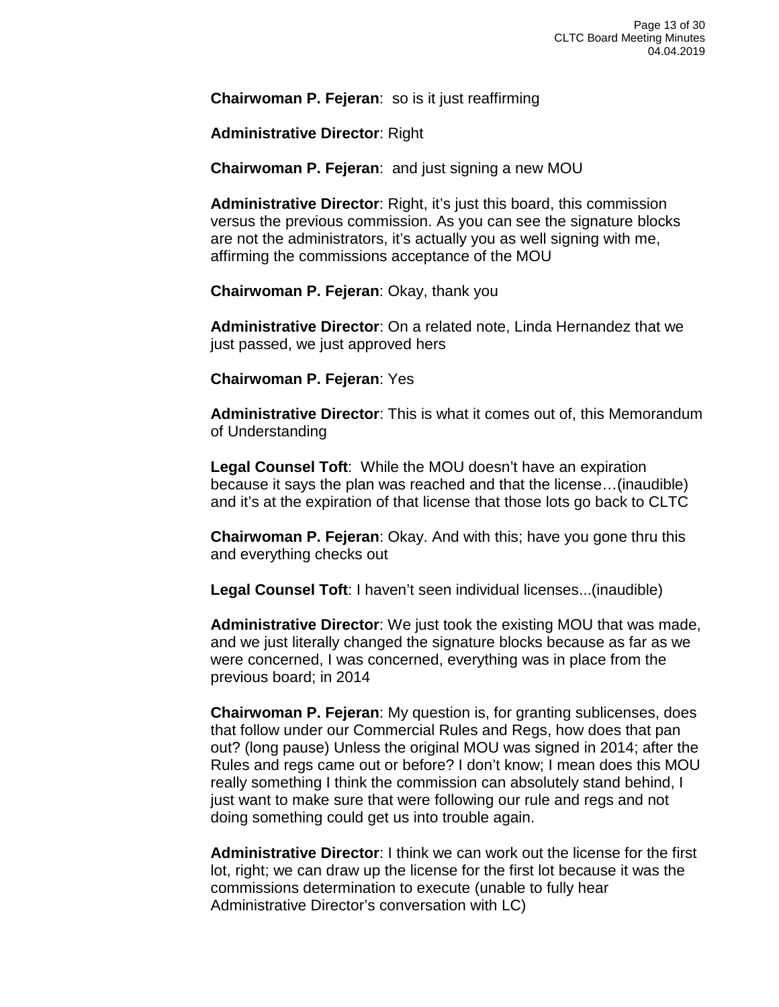**Chairwoman P. Fejeran**: so is it just reaffirming

**Administrative Director**: Right

**Chairwoman P. Fejeran**: and just signing a new MOU

**Administrative Director**: Right, it's just this board, this commission versus the previous commission. As you can see the signature blocks are not the administrators, it's actually you as well signing with me, affirming the commissions acceptance of the MOU

**Chairwoman P. Fejeran**: Okay, thank you

**Administrative Director**: On a related note, Linda Hernandez that we just passed, we just approved hers

**Chairwoman P. Fejeran**: Yes

**Administrative Director**: This is what it comes out of, this Memorandum of Understanding

**Legal Counsel Toft**: While the MOU doesn't have an expiration because it says the plan was reached and that the license…(inaudible) and it's at the expiration of that license that those lots go back to CLTC

**Chairwoman P. Fejeran**: Okay. And with this; have you gone thru this and everything checks out

**Legal Counsel Toft**: I haven't seen individual licenses...(inaudible)

**Administrative Director**: We just took the existing MOU that was made, and we just literally changed the signature blocks because as far as we were concerned, I was concerned, everything was in place from the previous board; in 2014

**Chairwoman P. Fejeran**: My question is, for granting sublicenses, does that follow under our Commercial Rules and Regs, how does that pan out? (long pause) Unless the original MOU was signed in 2014; after the Rules and regs came out or before? I don't know; I mean does this MOU really something I think the commission can absolutely stand behind, I just want to make sure that were following our rule and regs and not doing something could get us into trouble again.

**Administrative Director**: I think we can work out the license for the first lot, right; we can draw up the license for the first lot because it was the commissions determination to execute (unable to fully hear Administrative Director's conversation with LC)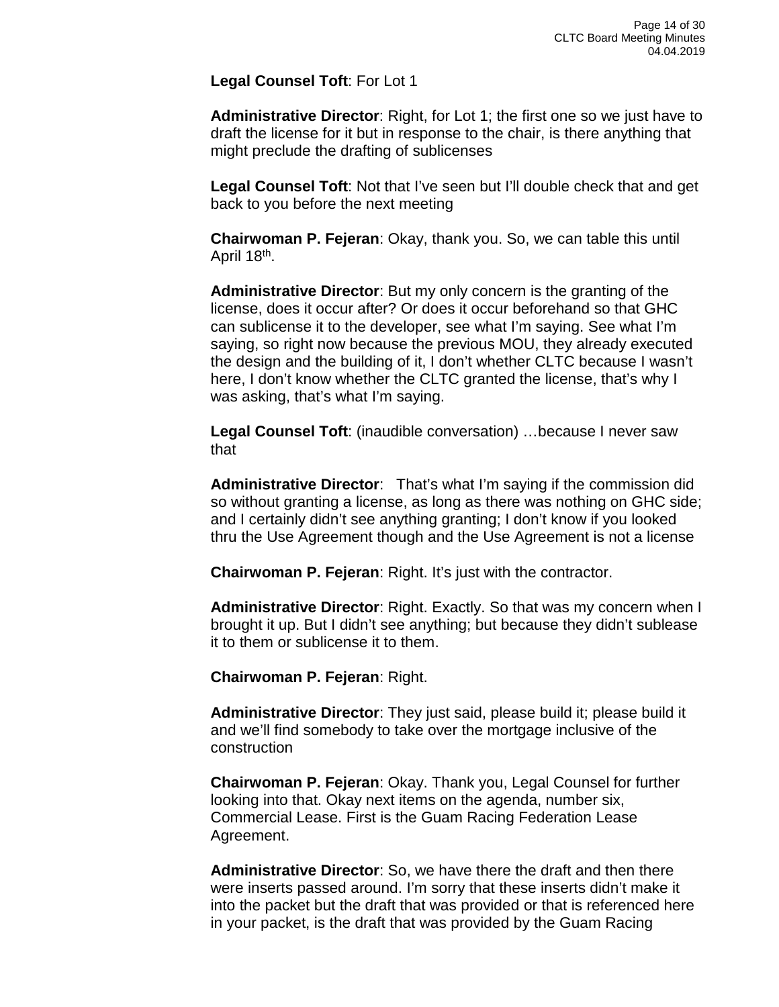**Legal Counsel Toft**: For Lot 1

**Administrative Director**: Right, for Lot 1; the first one so we just have to draft the license for it but in response to the chair, is there anything that might preclude the drafting of sublicenses

**Legal Counsel Toft**: Not that I've seen but I'll double check that and get back to you before the next meeting

**Chairwoman P. Fejeran**: Okay, thank you. So, we can table this until April 18th.

**Administrative Director**: But my only concern is the granting of the license, does it occur after? Or does it occur beforehand so that GHC can sublicense it to the developer, see what I'm saying. See what I'm saying, so right now because the previous MOU, they already executed the design and the building of it, I don't whether CLTC because I wasn't here, I don't know whether the CLTC granted the license, that's why I was asking, that's what I'm saying.

**Legal Counsel Toft**: (inaudible conversation) …because I never saw that

**Administrative Director**: That's what I'm saying if the commission did so without granting a license, as long as there was nothing on GHC side; and I certainly didn't see anything granting; I don't know if you looked thru the Use Agreement though and the Use Agreement is not a license

**Chairwoman P. Fejeran**: Right. It's just with the contractor.

**Administrative Director**: Right. Exactly. So that was my concern when I brought it up. But I didn't see anything; but because they didn't sublease it to them or sublicense it to them.

**Chairwoman P. Fejeran**: Right.

**Administrative Director**: They just said, please build it; please build it and we'll find somebody to take over the mortgage inclusive of the construction

**Chairwoman P. Fejeran**: Okay. Thank you, Legal Counsel for further looking into that. Okay next items on the agenda, number six, Commercial Lease. First is the Guam Racing Federation Lease Agreement.

**Administrative Director**: So, we have there the draft and then there were inserts passed around. I'm sorry that these inserts didn't make it into the packet but the draft that was provided or that is referenced here in your packet, is the draft that was provided by the Guam Racing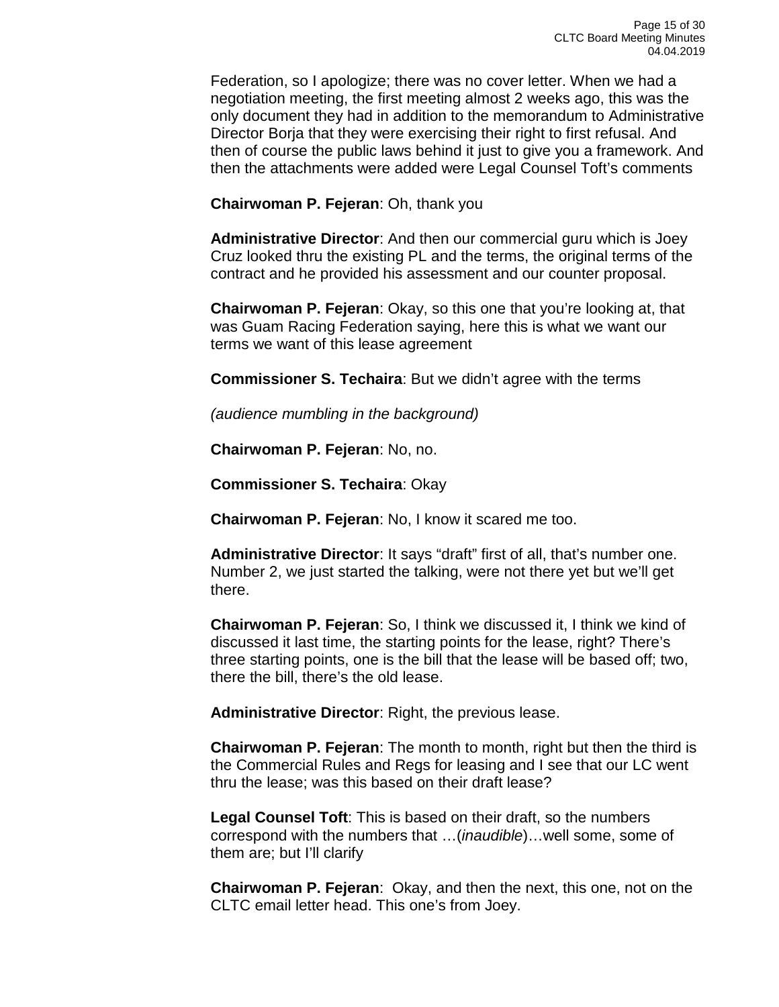Federation, so I apologize; there was no cover letter. When we had a negotiation meeting, the first meeting almost 2 weeks ago, this was the only document they had in addition to the memorandum to Administrative Director Borja that they were exercising their right to first refusal. And then of course the public laws behind it just to give you a framework. And then the attachments were added were Legal Counsel Toft's comments

**Chairwoman P. Fejeran**: Oh, thank you

**Administrative Director**: And then our commercial guru which is Joey Cruz looked thru the existing PL and the terms, the original terms of the contract and he provided his assessment and our counter proposal.

**Chairwoman P. Fejeran**: Okay, so this one that you're looking at, that was Guam Racing Federation saying, here this is what we want our terms we want of this lease agreement

**Commissioner S. Techaira**: But we didn't agree with the terms

*(audience mumbling in the background)*

**Chairwoman P. Fejeran**: No, no.

**Commissioner S. Techaira**: Okay

**Chairwoman P. Fejeran**: No, I know it scared me too.

**Administrative Director**: It says "draft" first of all, that's number one. Number 2, we just started the talking, were not there yet but we'll get there.

**Chairwoman P. Fejeran**: So, I think we discussed it, I think we kind of discussed it last time, the starting points for the lease, right? There's three starting points, one is the bill that the lease will be based off; two, there the bill, there's the old lease.

**Administrative Director**: Right, the previous lease.

**Chairwoman P. Fejeran**: The month to month, right but then the third is the Commercial Rules and Regs for leasing and I see that our LC went thru the lease; was this based on their draft lease?

**Legal Counsel Toft**: This is based on their draft, so the numbers correspond with the numbers that …(*inaudible*)…well some, some of them are; but I'll clarify

**Chairwoman P. Fejeran**: Okay, and then the next, this one, not on the CLTC email letter head. This one's from Joey.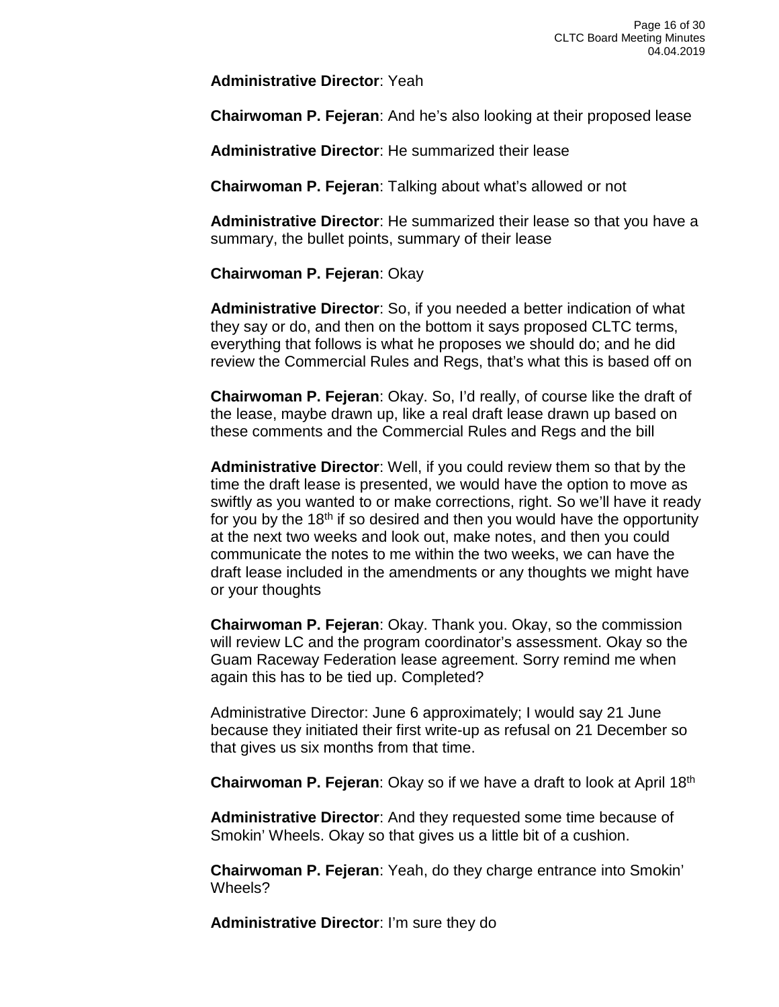**Administrative Director**: Yeah

**Chairwoman P. Fejeran**: And he's also looking at their proposed lease

**Administrative Director**: He summarized their lease

**Chairwoman P. Fejeran**: Talking about what's allowed or not

**Administrative Director**: He summarized their lease so that you have a summary, the bullet points, summary of their lease

**Chairwoman P. Fejeran**: Okay

**Administrative Director**: So, if you needed a better indication of what they say or do, and then on the bottom it says proposed CLTC terms, everything that follows is what he proposes we should do; and he did review the Commercial Rules and Regs, that's what this is based off on

**Chairwoman P. Fejeran**: Okay. So, I'd really, of course like the draft of the lease, maybe drawn up, like a real draft lease drawn up based on these comments and the Commercial Rules and Regs and the bill

**Administrative Director**: Well, if you could review them so that by the time the draft lease is presented, we would have the option to move as swiftly as you wanted to or make corrections, right. So we'll have it ready for you by the  $18<sup>th</sup>$  if so desired and then you would have the opportunity at the next two weeks and look out, make notes, and then you could communicate the notes to me within the two weeks, we can have the draft lease included in the amendments or any thoughts we might have or your thoughts

**Chairwoman P. Fejeran**: Okay. Thank you. Okay, so the commission will review LC and the program coordinator's assessment. Okay so the Guam Raceway Federation lease agreement. Sorry remind me when again this has to be tied up. Completed?

Administrative Director: June 6 approximately; I would say 21 June because they initiated their first write-up as refusal on 21 December so that gives us six months from that time.

**Chairwoman P. Fejeran**: Okay so if we have a draft to look at April 18th

**Administrative Director**: And they requested some time because of Smokin' Wheels. Okay so that gives us a little bit of a cushion.

**Chairwoman P. Fejeran**: Yeah, do they charge entrance into Smokin' Wheels?

**Administrative Director**: I'm sure they do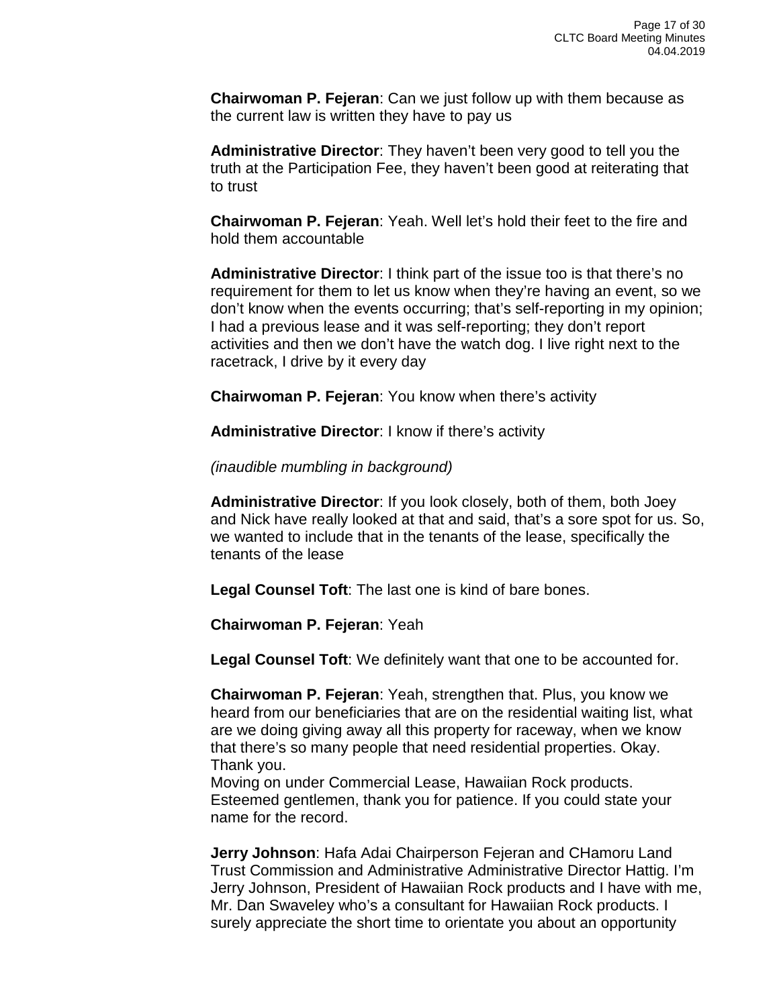**Chairwoman P. Fejeran**: Can we just follow up with them because as the current law is written they have to pay us

**Administrative Director**: They haven't been very good to tell you the truth at the Participation Fee, they haven't been good at reiterating that to trust

**Chairwoman P. Fejeran**: Yeah. Well let's hold their feet to the fire and hold them accountable

**Administrative Director**: I think part of the issue too is that there's no requirement for them to let us know when they're having an event, so we don't know when the events occurring; that's self-reporting in my opinion; I had a previous lease and it was self-reporting; they don't report activities and then we don't have the watch dog. I live right next to the racetrack, I drive by it every day

**Chairwoman P. Fejeran**: You know when there's activity

**Administrative Director**: I know if there's activity

*(inaudible mumbling in background)*

**Administrative Director**: If you look closely, both of them, both Joey and Nick have really looked at that and said, that's a sore spot for us. So, we wanted to include that in the tenants of the lease, specifically the tenants of the lease

**Legal Counsel Toft**: The last one is kind of bare bones.

**Chairwoman P. Fejeran**: Yeah

**Legal Counsel Toft**: We definitely want that one to be accounted for.

**Chairwoman P. Fejeran**: Yeah, strengthen that. Plus, you know we heard from our beneficiaries that are on the residential waiting list, what are we doing giving away all this property for raceway, when we know that there's so many people that need residential properties. Okay. Thank you.

Moving on under Commercial Lease, Hawaiian Rock products. Esteemed gentlemen, thank you for patience. If you could state your name for the record.

**Jerry Johnson**: Hafa Adai Chairperson Fejeran and CHamoru Land Trust Commission and Administrative Administrative Director Hattig. I'm Jerry Johnson, President of Hawaiian Rock products and I have with me, Mr. Dan Swaveley who's a consultant for Hawaiian Rock products. I surely appreciate the short time to orientate you about an opportunity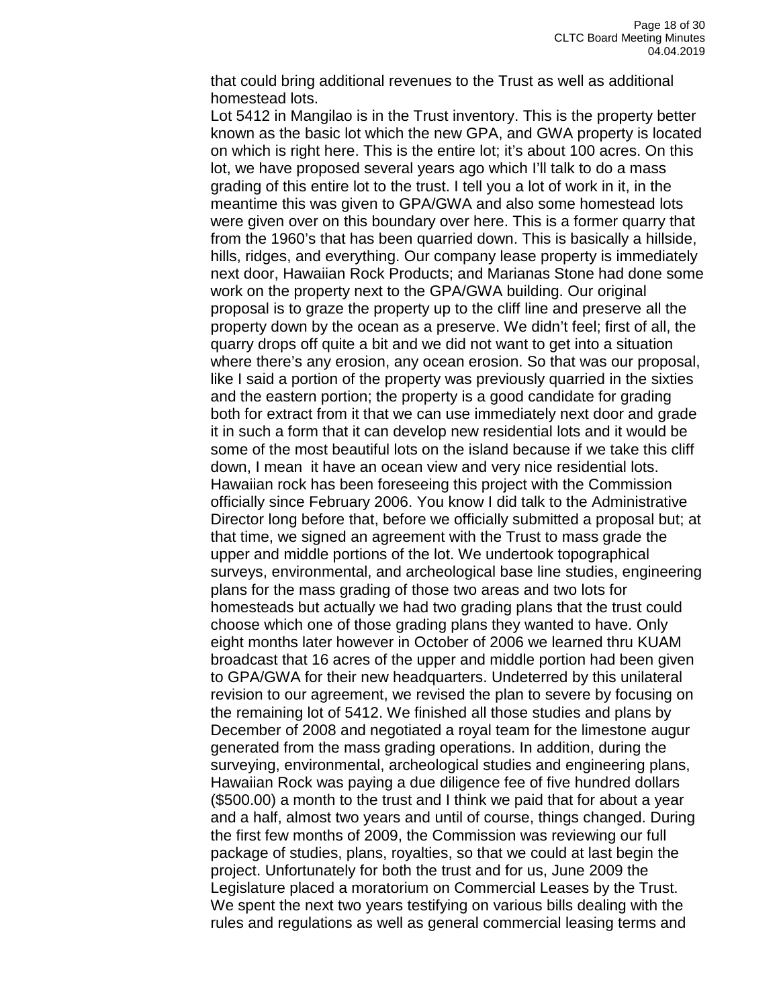that could bring additional revenues to the Trust as well as additional homestead lots.

Lot 5412 in Mangilao is in the Trust inventory. This is the property better known as the basic lot which the new GPA, and GWA property is located on which is right here. This is the entire lot; it's about 100 acres. On this lot, we have proposed several years ago which I'll talk to do a mass grading of this entire lot to the trust. I tell you a lot of work in it, in the meantime this was given to GPA/GWA and also some homestead lots were given over on this boundary over here. This is a former quarry that from the 1960's that has been quarried down. This is basically a hillside, hills, ridges, and everything. Our company lease property is immediately next door, Hawaiian Rock Products; and Marianas Stone had done some work on the property next to the GPA/GWA building. Our original proposal is to graze the property up to the cliff line and preserve all the property down by the ocean as a preserve. We didn't feel; first of all, the quarry drops off quite a bit and we did not want to get into a situation where there's any erosion, any ocean erosion. So that was our proposal, like I said a portion of the property was previously quarried in the sixties and the eastern portion; the property is a good candidate for grading both for extract from it that we can use immediately next door and grade it in such a form that it can develop new residential lots and it would be some of the most beautiful lots on the island because if we take this cliff down, I mean it have an ocean view and very nice residential lots. Hawaiian rock has been foreseeing this project with the Commission officially since February 2006. You know I did talk to the Administrative Director long before that, before we officially submitted a proposal but; at that time, we signed an agreement with the Trust to mass grade the upper and middle portions of the lot. We undertook topographical surveys, environmental, and archeological base line studies, engineering plans for the mass grading of those two areas and two lots for homesteads but actually we had two grading plans that the trust could choose which one of those grading plans they wanted to have. Only eight months later however in October of 2006 we learned thru KUAM broadcast that 16 acres of the upper and middle portion had been given to GPA/GWA for their new headquarters. Undeterred by this unilateral revision to our agreement, we revised the plan to severe by focusing on the remaining lot of 5412. We finished all those studies and plans by December of 2008 and negotiated a royal team for the limestone augur generated from the mass grading operations. In addition, during the surveying, environmental, archeological studies and engineering plans, Hawaiian Rock was paying a due diligence fee of five hundred dollars (\$500.00) a month to the trust and I think we paid that for about a year and a half, almost two years and until of course, things changed. During the first few months of 2009, the Commission was reviewing our full package of studies, plans, royalties, so that we could at last begin the project. Unfortunately for both the trust and for us, June 2009 the Legislature placed a moratorium on Commercial Leases by the Trust. We spent the next two years testifying on various bills dealing with the rules and regulations as well as general commercial leasing terms and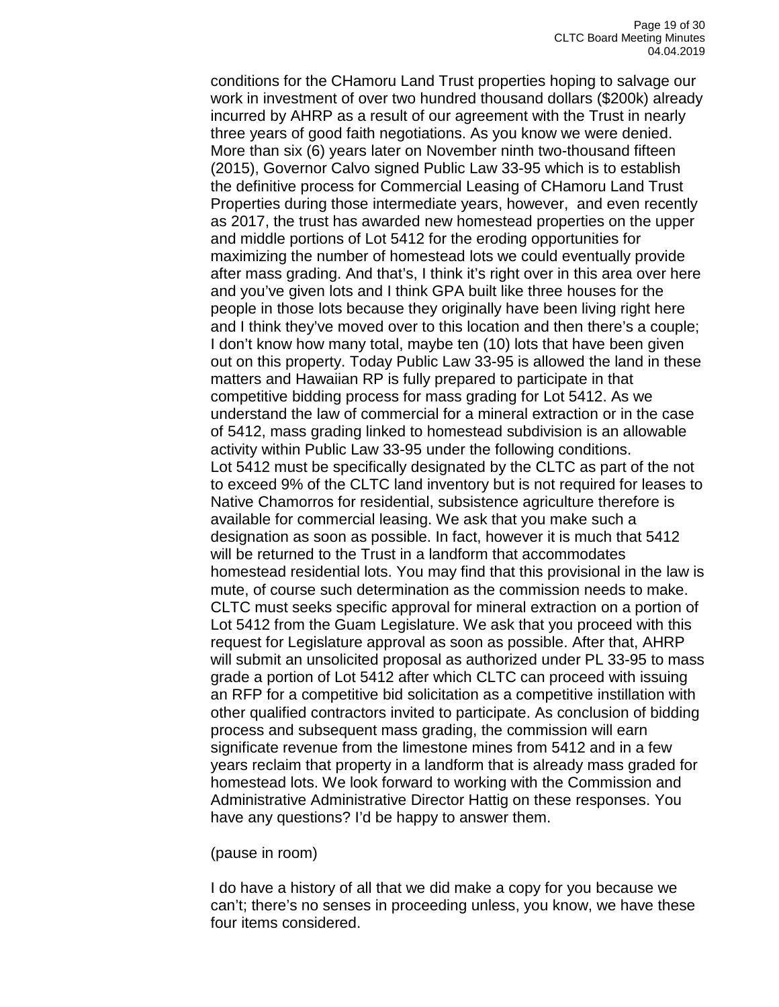conditions for the CHamoru Land Trust properties hoping to salvage our work in investment of over two hundred thousand dollars (\$200k) already incurred by AHRP as a result of our agreement with the Trust in nearly three years of good faith negotiations. As you know we were denied. More than six (6) years later on November ninth two-thousand fifteen (2015), Governor Calvo signed Public Law 33-95 which is to establish the definitive process for Commercial Leasing of CHamoru Land Trust Properties during those intermediate years, however, and even recently as 2017, the trust has awarded new homestead properties on the upper and middle portions of Lot 5412 for the eroding opportunities for maximizing the number of homestead lots we could eventually provide after mass grading. And that's, I think it's right over in this area over here and you've given lots and I think GPA built like three houses for the people in those lots because they originally have been living right here and I think they've moved over to this location and then there's a couple; I don't know how many total, maybe ten (10) lots that have been given out on this property. Today Public Law 33-95 is allowed the land in these matters and Hawaiian RP is fully prepared to participate in that competitive bidding process for mass grading for Lot 5412. As we understand the law of commercial for a mineral extraction or in the case of 5412, mass grading linked to homestead subdivision is an allowable activity within Public Law 33-95 under the following conditions. Lot 5412 must be specifically designated by the CLTC as part of the not to exceed 9% of the CLTC land inventory but is not required for leases to Native Chamorros for residential, subsistence agriculture therefore is available for commercial leasing. We ask that you make such a designation as soon as possible. In fact, however it is much that 5412 will be returned to the Trust in a landform that accommodates homestead residential lots. You may find that this provisional in the law is mute, of course such determination as the commission needs to make. CLTC must seeks specific approval for mineral extraction on a portion of Lot 5412 from the Guam Legislature. We ask that you proceed with this request for Legislature approval as soon as possible. After that, AHRP will submit an unsolicited proposal as authorized under PL 33-95 to mass grade a portion of Lot 5412 after which CLTC can proceed with issuing an RFP for a competitive bid solicitation as a competitive instillation with other qualified contractors invited to participate. As conclusion of bidding process and subsequent mass grading, the commission will earn significate revenue from the limestone mines from 5412 and in a few years reclaim that property in a landform that is already mass graded for homestead lots. We look forward to working with the Commission and Administrative Administrative Director Hattig on these responses. You have any questions? I'd be happy to answer them.

#### (pause in room)

I do have a history of all that we did make a copy for you because we can't; there's no senses in proceeding unless, you know, we have these four items considered.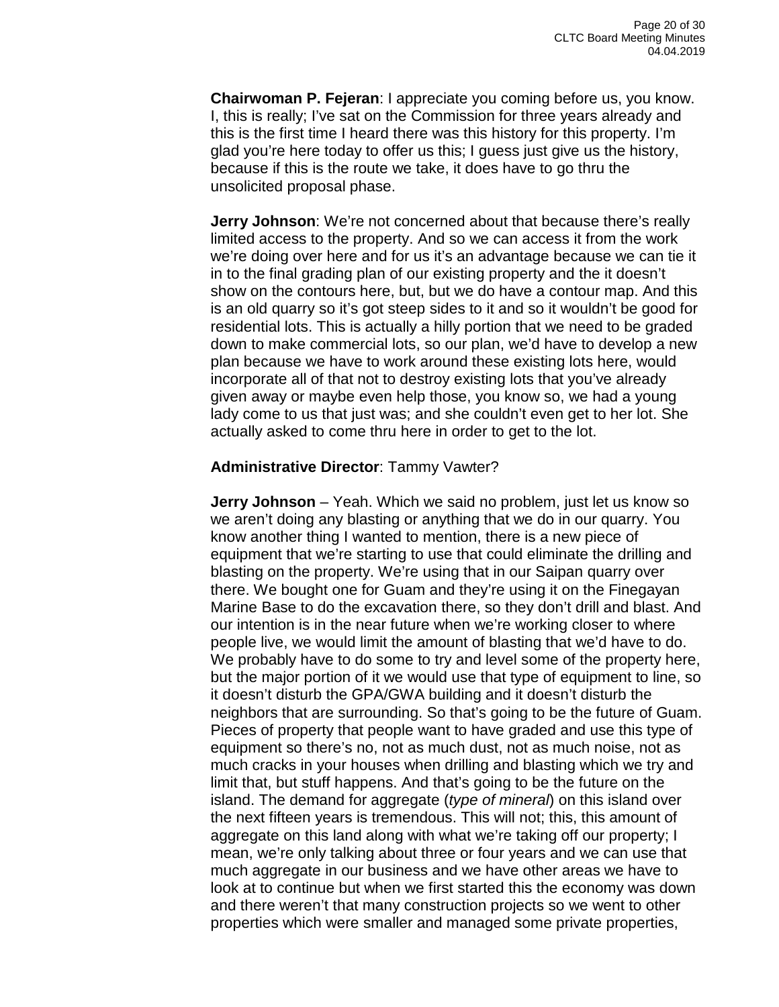**Chairwoman P. Fejeran**: I appreciate you coming before us, you know. I, this is really; I've sat on the Commission for three years already and this is the first time I heard there was this history for this property. I'm glad you're here today to offer us this; I guess just give us the history, because if this is the route we take, it does have to go thru the unsolicited proposal phase.

**Jerry Johnson**: We're not concerned about that because there's really limited access to the property. And so we can access it from the work we're doing over here and for us it's an advantage because we can tie it in to the final grading plan of our existing property and the it doesn't show on the contours here, but, but we do have a contour map. And this is an old quarry so it's got steep sides to it and so it wouldn't be good for residential lots. This is actually a hilly portion that we need to be graded down to make commercial lots, so our plan, we'd have to develop a new plan because we have to work around these existing lots here, would incorporate all of that not to destroy existing lots that you've already given away or maybe even help those, you know so, we had a young lady come to us that just was; and she couldn't even get to her lot. She actually asked to come thru here in order to get to the lot.

### **Administrative Director**: Tammy Vawter?

**Jerry Johnson** – Yeah. Which we said no problem, just let us know so we aren't doing any blasting or anything that we do in our quarry. You know another thing I wanted to mention, there is a new piece of equipment that we're starting to use that could eliminate the drilling and blasting on the property. We're using that in our Saipan quarry over there. We bought one for Guam and they're using it on the Finegayan Marine Base to do the excavation there, so they don't drill and blast. And our intention is in the near future when we're working closer to where people live, we would limit the amount of blasting that we'd have to do. We probably have to do some to try and level some of the property here, but the major portion of it we would use that type of equipment to line, so it doesn't disturb the GPA/GWA building and it doesn't disturb the neighbors that are surrounding. So that's going to be the future of Guam. Pieces of property that people want to have graded and use this type of equipment so there's no, not as much dust, not as much noise, not as much cracks in your houses when drilling and blasting which we try and limit that, but stuff happens. And that's going to be the future on the island. The demand for aggregate (*type of mineral*) on this island over the next fifteen years is tremendous. This will not; this, this amount of aggregate on this land along with what we're taking off our property; I mean, we're only talking about three or four years and we can use that much aggregate in our business and we have other areas we have to look at to continue but when we first started this the economy was down and there weren't that many construction projects so we went to other properties which were smaller and managed some private properties,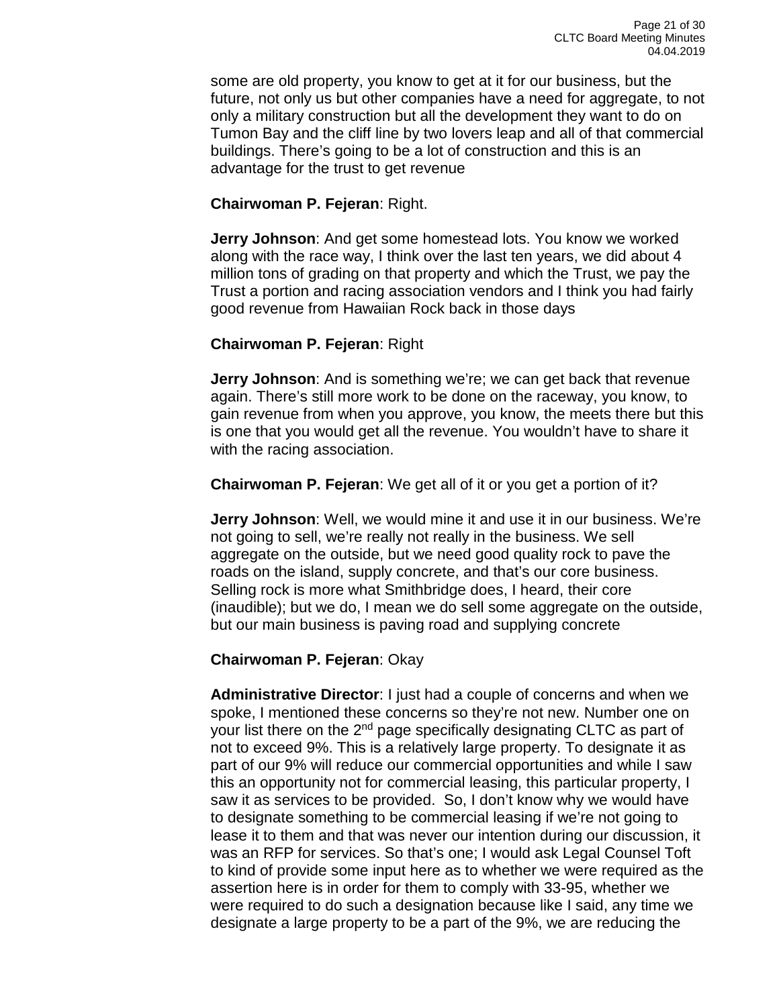some are old property, you know to get at it for our business, but the future, not only us but other companies have a need for aggregate, to not only a military construction but all the development they want to do on Tumon Bay and the cliff line by two lovers leap and all of that commercial buildings. There's going to be a lot of construction and this is an advantage for the trust to get revenue

### **Chairwoman P. Fejeran**: Right.

**Jerry Johnson**: And get some homestead lots. You know we worked along with the race way, I think over the last ten years, we did about 4 million tons of grading on that property and which the Trust, we pay the Trust a portion and racing association vendors and I think you had fairly good revenue from Hawaiian Rock back in those days

### **Chairwoman P. Fejeran**: Right

**Jerry Johnson**: And is something we're; we can get back that revenue again. There's still more work to be done on the raceway, you know, to gain revenue from when you approve, you know, the meets there but this is one that you would get all the revenue. You wouldn't have to share it with the racing association.

**Chairwoman P. Fejeran**: We get all of it or you get a portion of it?

**Jerry Johnson**: Well, we would mine it and use it in our business. We're not going to sell, we're really not really in the business. We sell aggregate on the outside, but we need good quality rock to pave the roads on the island, supply concrete, and that's our core business. Selling rock is more what Smithbridge does, I heard, their core (inaudible); but we do, I mean we do sell some aggregate on the outside, but our main business is paving road and supplying concrete

## **Chairwoman P. Fejeran**: Okay

**Administrative Director**: I just had a couple of concerns and when we spoke, I mentioned these concerns so they're not new. Number one on your list there on the 2<sup>nd</sup> page specifically designating CLTC as part of not to exceed 9%. This is a relatively large property. To designate it as part of our 9% will reduce our commercial opportunities and while I saw this an opportunity not for commercial leasing, this particular property, I saw it as services to be provided. So, I don't know why we would have to designate something to be commercial leasing if we're not going to lease it to them and that was never our intention during our discussion, it was an RFP for services. So that's one; I would ask Legal Counsel Toft to kind of provide some input here as to whether we were required as the assertion here is in order for them to comply with 33-95, whether we were required to do such a designation because like I said, any time we designate a large property to be a part of the 9%, we are reducing the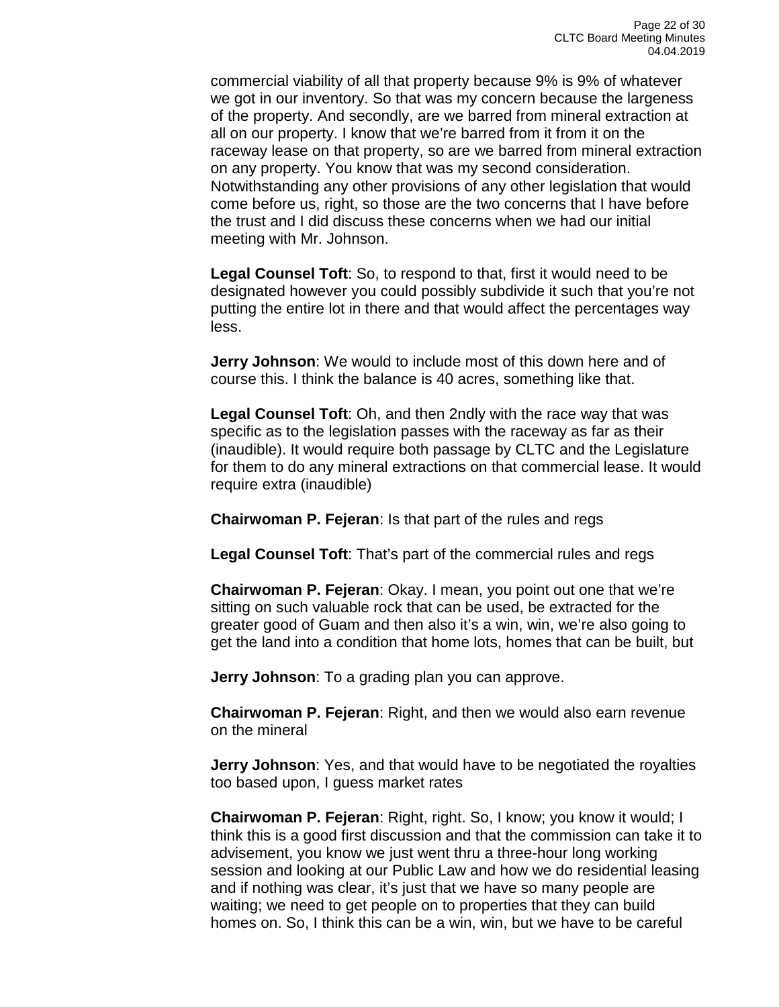commercial viability of all that property because 9% is 9% of whatever we got in our inventory. So that was my concern because the largeness of the property. And secondly, are we barred from mineral extraction at all on our property. I know that we're barred from it from it on the raceway lease on that property, so are we barred from mineral extraction on any property. You know that was my second consideration. Notwithstanding any other provisions of any other legislation that would come before us, right, so those are the two concerns that I have before the trust and I did discuss these concerns when we had our initial meeting with Mr. Johnson.

**Legal Counsel Toft**: So, to respond to that, first it would need to be designated however you could possibly subdivide it such that you're not putting the entire lot in there and that would affect the percentages way less.

**Jerry Johnson**: We would to include most of this down here and of course this. I think the balance is 40 acres, something like that.

**Legal Counsel Toft**: Oh, and then 2ndly with the race way that was specific as to the legislation passes with the raceway as far as their (inaudible). It would require both passage by CLTC and the Legislature for them to do any mineral extractions on that commercial lease. It would require extra (inaudible)

**Chairwoman P. Fejeran**: Is that part of the rules and regs

**Legal Counsel Toft**: That's part of the commercial rules and regs

**Chairwoman P. Fejeran**: Okay. I mean, you point out one that we're sitting on such valuable rock that can be used, be extracted for the greater good of Guam and then also it's a win, win, we're also going to get the land into a condition that home lots, homes that can be built, but

**Jerry Johnson**: To a grading plan you can approve.

**Chairwoman P. Fejeran**: Right, and then we would also earn revenue on the mineral

**Jerry Johnson**: Yes, and that would have to be negotiated the royalties too based upon, I guess market rates

**Chairwoman P. Fejeran**: Right, right. So, I know; you know it would; I think this is a good first discussion and that the commission can take it to advisement, you know we just went thru a three-hour long working session and looking at our Public Law and how we do residential leasing and if nothing was clear, it's just that we have so many people are waiting; we need to get people on to properties that they can build homes on. So, I think this can be a win, win, but we have to be careful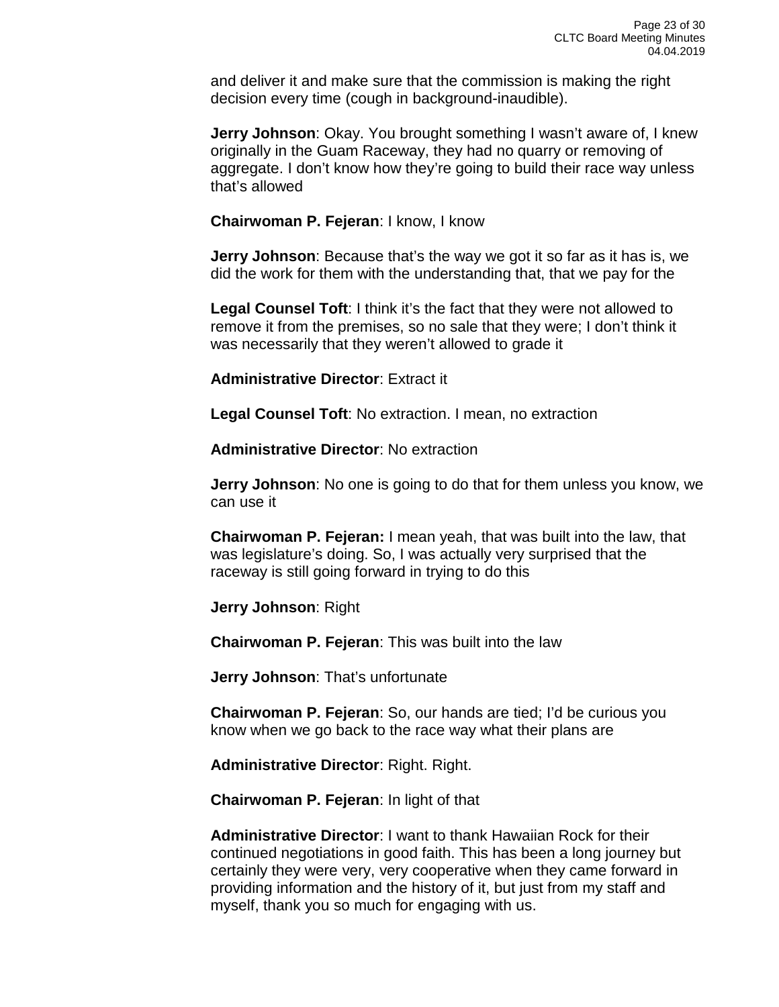and deliver it and make sure that the commission is making the right decision every time (cough in background-inaudible).

**Jerry Johnson**: Okay. You brought something I wasn't aware of, I knew originally in the Guam Raceway, they had no quarry or removing of aggregate. I don't know how they're going to build their race way unless that's allowed

**Chairwoman P. Fejeran**: I know, I know

**Jerry Johnson**: Because that's the way we got it so far as it has is, we did the work for them with the understanding that, that we pay for the

**Legal Counsel Toft**: I think it's the fact that they were not allowed to remove it from the premises, so no sale that they were; I don't think it was necessarily that they weren't allowed to grade it

**Administrative Director**: Extract it

**Legal Counsel Toft**: No extraction. I mean, no extraction

**Administrative Director**: No extraction

**Jerry Johnson**: No one is going to do that for them unless you know, we can use it

**Chairwoman P. Fejeran:** I mean yeah, that was built into the law, that was legislature's doing. So, I was actually very surprised that the raceway is still going forward in trying to do this

**Jerry Johnson**: Right

**Chairwoman P. Fejeran**: This was built into the law

**Jerry Johnson**: That's unfortunate

**Chairwoman P. Fejeran**: So, our hands are tied; I'd be curious you know when we go back to the race way what their plans are

**Administrative Director**: Right. Right.

**Chairwoman P. Fejeran**: In light of that

**Administrative Director**: I want to thank Hawaiian Rock for their continued negotiations in good faith. This has been a long journey but certainly they were very, very cooperative when they came forward in providing information and the history of it, but just from my staff and myself, thank you so much for engaging with us.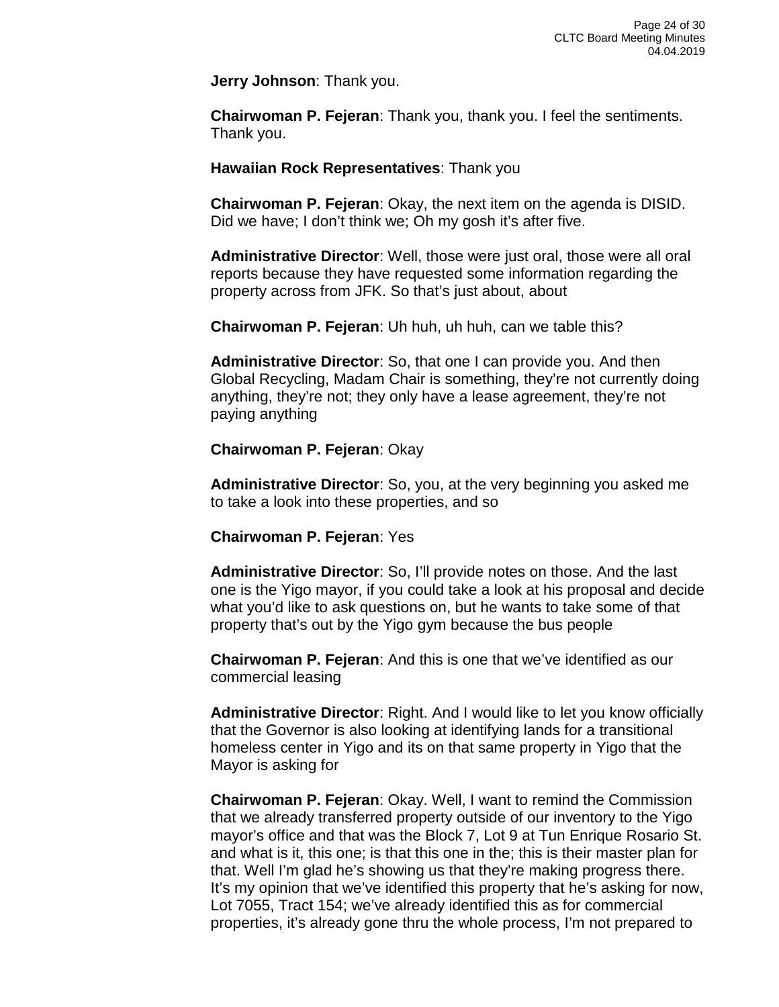**Jerry Johnson**: Thank you.

**Chairwoman P. Fejeran**: Thank you, thank you. I feel the sentiments. Thank you.

#### **Hawaiian Rock Representatives**: Thank you

**Chairwoman P. Fejeran**: Okay, the next item on the agenda is DISID. Did we have; I don't think we; Oh my gosh it's after five.

**Administrative Director**: Well, those were just oral, those were all oral reports because they have requested some information regarding the property across from JFK. So that's just about, about

**Chairwoman P. Fejeran**: Uh huh, uh huh, can we table this?

**Administrative Director**: So, that one I can provide you. And then Global Recycling, Madam Chair is something, they're not currently doing anything, they're not; they only have a lease agreement, they're not paying anything

#### **Chairwoman P. Fejeran**: Okay

**Administrative Director**: So, you, at the very beginning you asked me to take a look into these properties, and so

#### **Chairwoman P. Fejeran**: Yes

**Administrative Director**: So, I'll provide notes on those. And the last one is the Yigo mayor, if you could take a look at his proposal and decide what you'd like to ask questions on, but he wants to take some of that property that's out by the Yigo gym because the bus people

**Chairwoman P. Fejeran**: And this is one that we've identified as our commercial leasing

**Administrative Director**: Right. And I would like to let you know officially that the Governor is also looking at identifying lands for a transitional homeless center in Yigo and its on that same property in Yigo that the Mayor is asking for

**Chairwoman P. Fejeran**: Okay. Well, I want to remind the Commission that we already transferred property outside of our inventory to the Yigo mayor's office and that was the Block 7, Lot 9 at Tun Enrique Rosario St. and what is it, this one; is that this one in the; this is their master plan for that. Well I'm glad he's showing us that they're making progress there. It's my opinion that we've identified this property that he's asking for now, Lot 7055, Tract 154; we've already identified this as for commercial properties, it's already gone thru the whole process, I'm not prepared to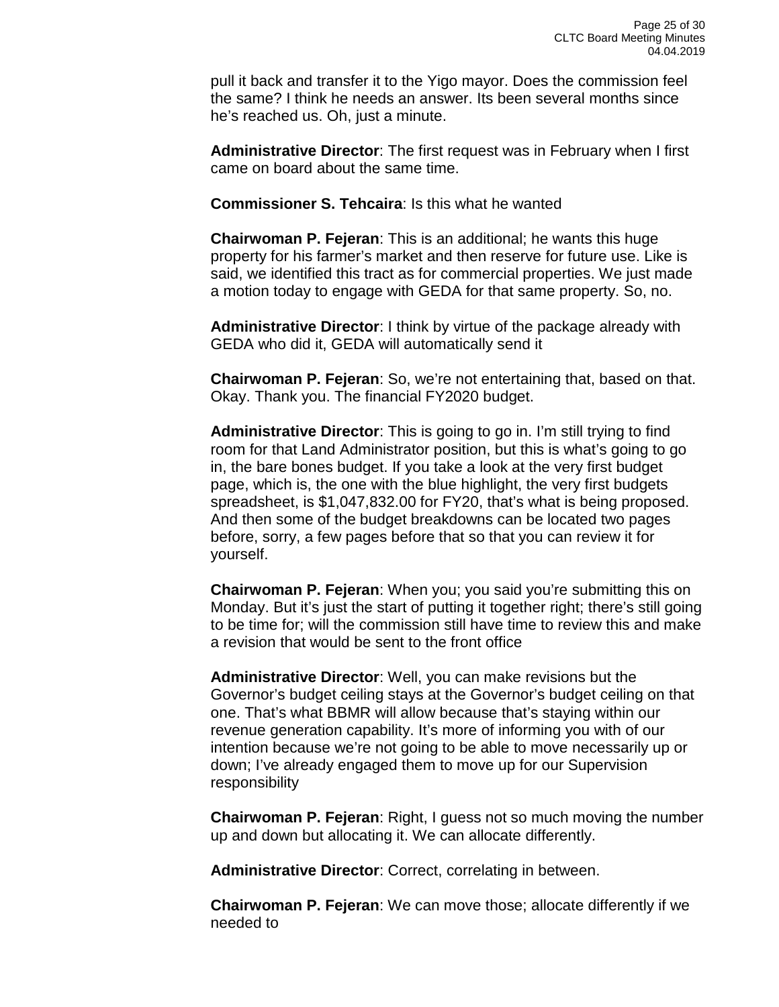pull it back and transfer it to the Yigo mayor. Does the commission feel the same? I think he needs an answer. Its been several months since he's reached us. Oh, just a minute.

**Administrative Director**: The first request was in February when I first came on board about the same time.

**Commissioner S. Tehcaira**: Is this what he wanted

**Chairwoman P. Fejeran**: This is an additional; he wants this huge property for his farmer's market and then reserve for future use. Like is said, we identified this tract as for commercial properties. We just made a motion today to engage with GEDA for that same property. So, no.

**Administrative Director**: I think by virtue of the package already with GEDA who did it, GEDA will automatically send it

**Chairwoman P. Fejeran**: So, we're not entertaining that, based on that. Okay. Thank you. The financial FY2020 budget.

**Administrative Director**: This is going to go in. I'm still trying to find room for that Land Administrator position, but this is what's going to go in, the bare bones budget. If you take a look at the very first budget page, which is, the one with the blue highlight, the very first budgets spreadsheet, is \$1,047,832.00 for FY20, that's what is being proposed. And then some of the budget breakdowns can be located two pages before, sorry, a few pages before that so that you can review it for yourself.

**Chairwoman P. Fejeran**: When you; you said you're submitting this on Monday. But it's just the start of putting it together right; there's still going to be time for; will the commission still have time to review this and make a revision that would be sent to the front office

**Administrative Director**: Well, you can make revisions but the Governor's budget ceiling stays at the Governor's budget ceiling on that one. That's what BBMR will allow because that's staying within our revenue generation capability. It's more of informing you with of our intention because we're not going to be able to move necessarily up or down; I've already engaged them to move up for our Supervision responsibility

**Chairwoman P. Fejeran**: Right, I guess not so much moving the number up and down but allocating it. We can allocate differently.

**Administrative Director**: Correct, correlating in between.

**Chairwoman P. Fejeran**: We can move those; allocate differently if we needed to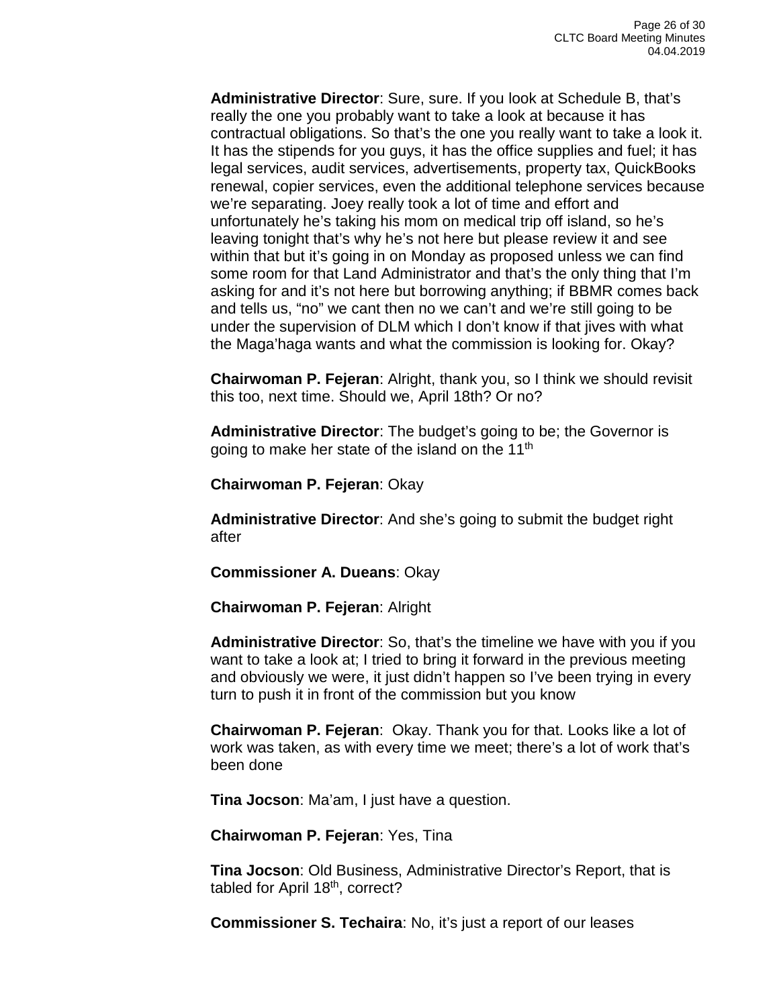**Administrative Director**: Sure, sure. If you look at Schedule B, that's really the one you probably want to take a look at because it has contractual obligations. So that's the one you really want to take a look it. It has the stipends for you guys, it has the office supplies and fuel; it has legal services, audit services, advertisements, property tax, QuickBooks renewal, copier services, even the additional telephone services because we're separating. Joey really took a lot of time and effort and unfortunately he's taking his mom on medical trip off island, so he's leaving tonight that's why he's not here but please review it and see within that but it's going in on Monday as proposed unless we can find some room for that Land Administrator and that's the only thing that I'm asking for and it's not here but borrowing anything; if BBMR comes back and tells us, "no" we cant then no we can't and we're still going to be under the supervision of DLM which I don't know if that jives with what the Maga'haga wants and what the commission is looking for. Okay?

**Chairwoman P. Fejeran**: Alright, thank you, so I think we should revisit this too, next time. Should we, April 18th? Or no?

**Administrative Director**: The budget's going to be; the Governor is going to make her state of the island on the 11<sup>th</sup>

**Chairwoman P. Fejeran**: Okay

**Administrative Director**: And she's going to submit the budget right after

**Commissioner A. Dueans**: Okay

**Chairwoman P. Fejeran**: Alright

**Administrative Director**: So, that's the timeline we have with you if you want to take a look at; I tried to bring it forward in the previous meeting and obviously we were, it just didn't happen so I've been trying in every turn to push it in front of the commission but you know

**Chairwoman P. Fejeran**: Okay. Thank you for that. Looks like a lot of work was taken, as with every time we meet; there's a lot of work that's been done

**Tina Jocson**: Ma'am, I just have a question.

**Chairwoman P. Fejeran**: Yes, Tina

**Tina Jocson**: Old Business, Administrative Director's Report, that is tabled for April 18<sup>th</sup>, correct?

**Commissioner S. Techaira**: No, it's just a report of our leases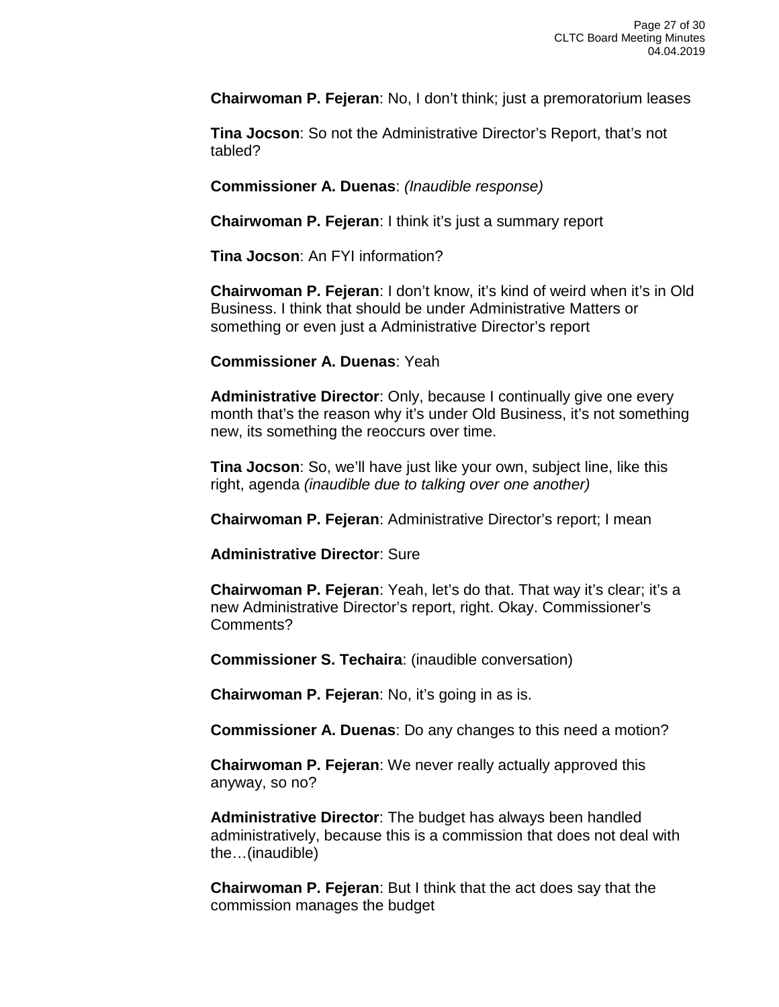**Chairwoman P. Fejeran**: No, I don't think; just a premoratorium leases

**Tina Jocson**: So not the Administrative Director's Report, that's not tabled?

**Commissioner A. Duenas**: *(Inaudible response)*

**Chairwoman P. Fejeran**: I think it's just a summary report

**Tina Jocson**: An FYI information?

**Chairwoman P. Fejeran**: I don't know, it's kind of weird when it's in Old Business. I think that should be under Administrative Matters or something or even just a Administrative Director's report

**Commissioner A. Duenas**: Yeah

**Administrative Director**: Only, because I continually give one every month that's the reason why it's under Old Business, it's not something new, its something the reoccurs over time.

**Tina Jocson**: So, we'll have just like your own, subject line, like this right, agenda *(inaudible due to talking over one another)*

**Chairwoman P. Fejeran**: Administrative Director's report; I mean

**Administrative Director**: Sure

**Chairwoman P. Fejeran**: Yeah, let's do that. That way it's clear; it's a new Administrative Director's report, right. Okay. Commissioner's Comments?

**Commissioner S. Techaira**: (inaudible conversation)

**Chairwoman P. Fejeran**: No, it's going in as is.

**Commissioner A. Duenas**: Do any changes to this need a motion?

**Chairwoman P. Fejeran**: We never really actually approved this anyway, so no?

**Administrative Director**: The budget has always been handled administratively, because this is a commission that does not deal with the…(inaudible)

**Chairwoman P. Fejeran**: But I think that the act does say that the commission manages the budget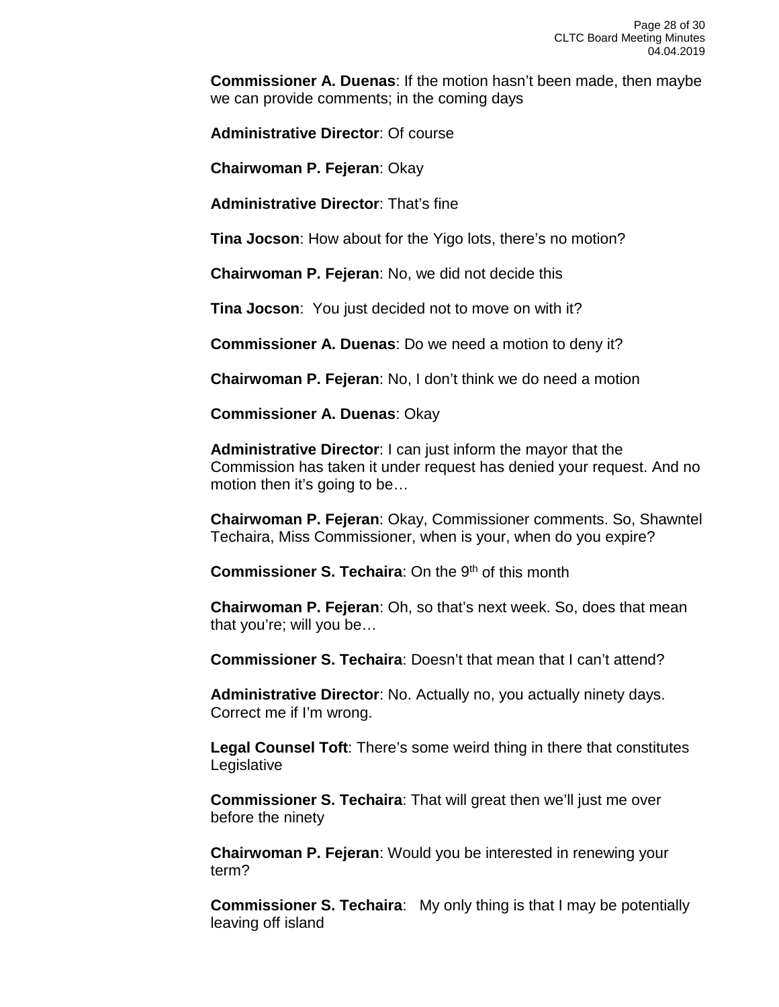**Commissioner A. Duenas**: If the motion hasn't been made, then maybe we can provide comments; in the coming days

**Administrative Director**: Of course

**Chairwoman P. Fejeran**: Okay

**Administrative Director**: That's fine

**Tina Jocson**: How about for the Yigo lots, there's no motion?

**Chairwoman P. Fejeran**: No, we did not decide this

**Tina Jocson**: You just decided not to move on with it?

**Commissioner A. Duenas**: Do we need a motion to deny it?

**Chairwoman P. Fejeran**: No, I don't think we do need a motion

**Commissioner A. Duenas**: Okay

**Administrative Director**: I can just inform the mayor that the Commission has taken it under request has denied your request. And no motion then it's going to be...

**Chairwoman P. Fejeran**: Okay, Commissioner comments. So, Shawntel Techaira, Miss Commissioner, when is your, when do you expire?

**Commissioner S. Techaira:** On the 9<sup>th</sup> of this month

**Chairwoman P. Fejeran**: Oh, so that's next week. So, does that mean that you're; will you be…

**Commissioner S. Techaira**: Doesn't that mean that I can't attend?

**Administrative Director**: No. Actually no, you actually ninety days. Correct me if I'm wrong.

**Legal Counsel Toft**: There's some weird thing in there that constitutes Legislative

**Commissioner S. Techaira**: That will great then we'll just me over before the ninety

**Chairwoman P. Fejeran**: Would you be interested in renewing your term?

**Commissioner S. Techaira:** My only thing is that I may be potentially leaving off island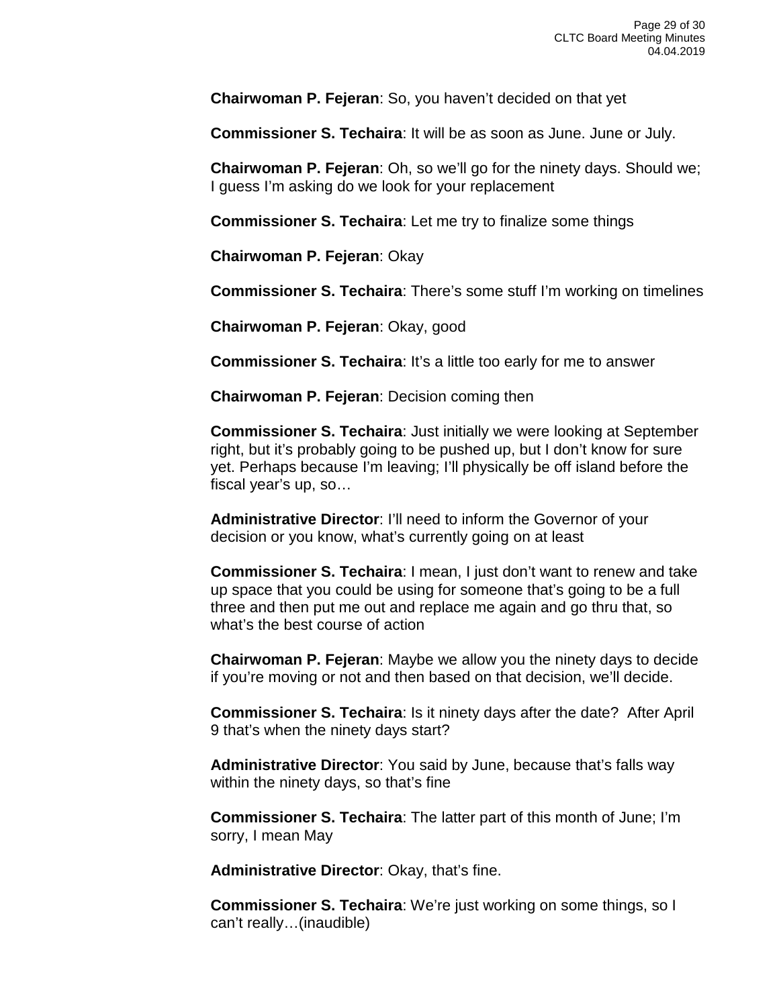**Chairwoman P. Fejeran**: So, you haven't decided on that yet

**Commissioner S. Techaira**: It will be as soon as June. June or July.

**Chairwoman P. Fejeran**: Oh, so we'll go for the ninety days. Should we; I guess I'm asking do we look for your replacement

**Commissioner S. Techaira**: Let me try to finalize some things

**Chairwoman P. Fejeran**: Okay

**Commissioner S. Techaira**: There's some stuff I'm working on timelines

**Chairwoman P. Fejeran**: Okay, good

**Commissioner S. Techaira**: It's a little too early for me to answer

**Chairwoman P. Fejeran**: Decision coming then

**Commissioner S. Techaira**: Just initially we were looking at September right, but it's probably going to be pushed up, but I don't know for sure yet. Perhaps because I'm leaving; I'll physically be off island before the fiscal year's up, so…

**Administrative Director**: I'll need to inform the Governor of your decision or you know, what's currently going on at least

**Commissioner S. Techaira**: I mean, I just don't want to renew and take up space that you could be using for someone that's going to be a full three and then put me out and replace me again and go thru that, so what's the best course of action

**Chairwoman P. Fejeran**: Maybe we allow you the ninety days to decide if you're moving or not and then based on that decision, we'll decide.

**Commissioner S. Techaira**: Is it ninety days after the date? After April 9 that's when the ninety days start?

**Administrative Director**: You said by June, because that's falls way within the ninety days, so that's fine

**Commissioner S. Techaira**: The latter part of this month of June; I'm sorry, I mean May

**Administrative Director**: Okay, that's fine.

**Commissioner S. Techaira**: We're just working on some things, so I can't really…(inaudible)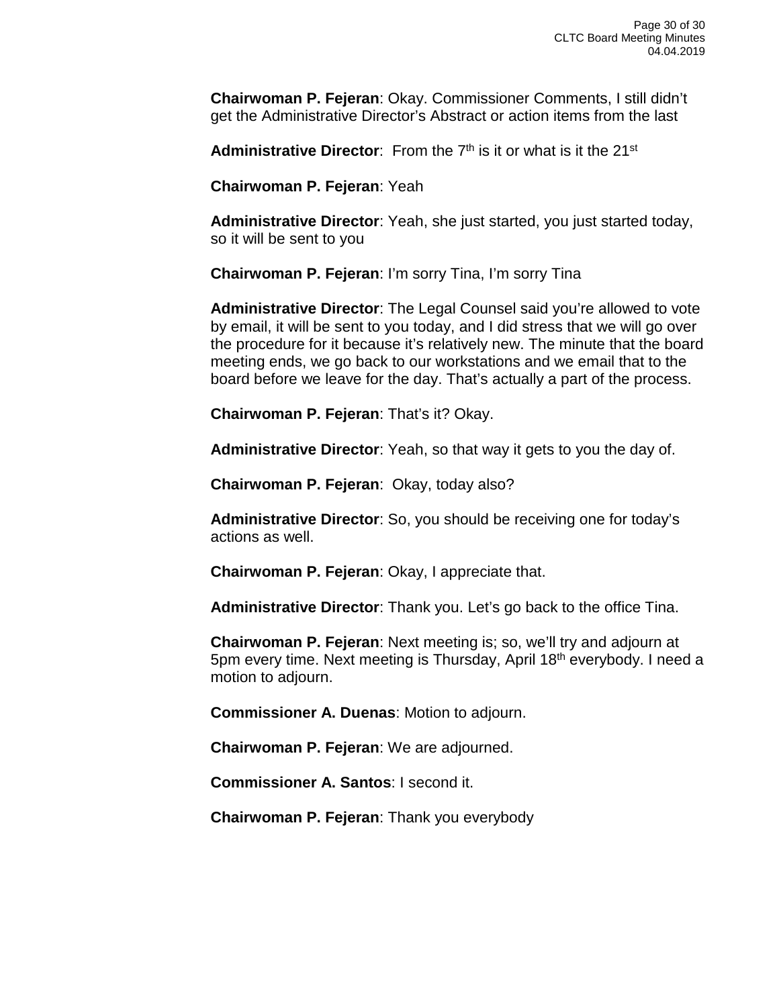**Chairwoman P. Fejeran**: Okay. Commissioner Comments, I still didn't get the Administrative Director's Abstract or action items from the last

**Administrative Director:** From the 7<sup>th</sup> is it or what is it the 21<sup>st</sup>

**Chairwoman P. Fejeran**: Yeah

**Administrative Director**: Yeah, she just started, you just started today, so it will be sent to you

**Chairwoman P. Fejeran**: I'm sorry Tina, I'm sorry Tina

**Administrative Director**: The Legal Counsel said you're allowed to vote by email, it will be sent to you today, and I did stress that we will go over the procedure for it because it's relatively new. The minute that the board meeting ends, we go back to our workstations and we email that to the board before we leave for the day. That's actually a part of the process.

**Chairwoman P. Fejeran**: That's it? Okay.

**Administrative Director**: Yeah, so that way it gets to you the day of.

**Chairwoman P. Fejeran**: Okay, today also?

**Administrative Director**: So, you should be receiving one for today's actions as well.

**Chairwoman P. Fejeran**: Okay, I appreciate that.

**Administrative Director**: Thank you. Let's go back to the office Tina.

**Chairwoman P. Fejeran**: Next meeting is; so, we'll try and adjourn at 5pm every time. Next meeting is Thursday, April 18th everybody. I need a motion to adjourn.

**Commissioner A. Duenas**: Motion to adjourn.

**Chairwoman P. Fejeran**: We are adjourned.

**Commissioner A. Santos**: I second it.

**Chairwoman P. Fejeran**: Thank you everybody